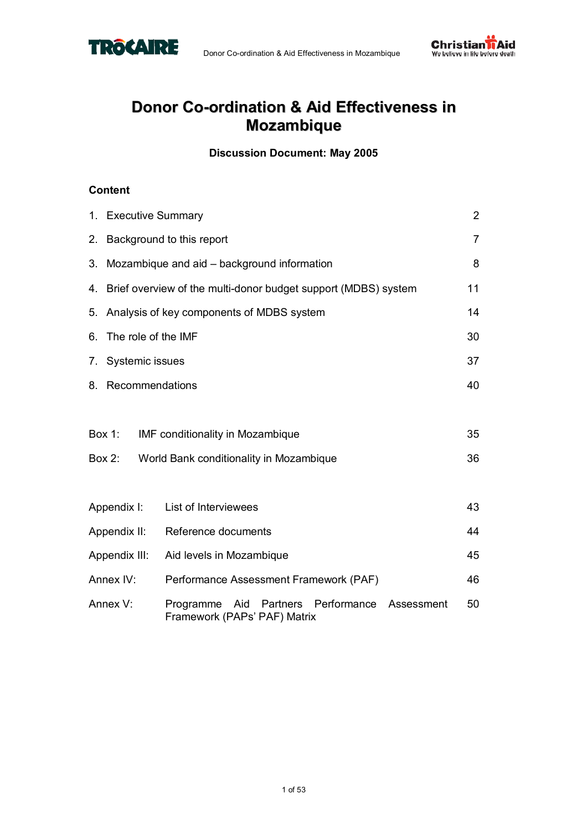



### **Donor Co-ordination & Aid Effectiveness in Mozambique**

**Discussion Document: May 2005** 

### **Content**

| 1. Executive Summary   |                                                                                     | $\overline{2}$ |
|------------------------|-------------------------------------------------------------------------------------|----------------|
|                        | 2. Background to this report                                                        | $\overline{7}$ |
|                        | 3. Mozambique and aid – background information                                      | 8              |
|                        | 4. Brief overview of the multi-donor budget support (MDBS) system                   | 11             |
|                        | 5. Analysis of key components of MDBS system                                        | 14             |
| 6. The role of the IMF |                                                                                     | 30             |
| 7. Systemic issues     |                                                                                     | 37             |
| 8. Recommendations     |                                                                                     | 40             |
|                        |                                                                                     |                |
| <b>Box 1:</b>          | <b>IMF conditionality in Mozambique</b>                                             | 35             |
| Box 2:                 | World Bank conditionality in Mozambique                                             | 36             |
|                        |                                                                                     |                |
| Appendix I:            | List of Interviewees                                                                | 43             |
| Appendix II:           | Reference documents                                                                 | 44             |
| Appendix III:          | Aid levels in Mozambique                                                            | 45             |
| Annex IV:              | Performance Assessment Framework (PAF)                                              | 46             |
| Annex V:               | Partners Performance Assessment<br>Programme<br>Aid<br>Framework (PAPs' PAF) Matrix | 50             |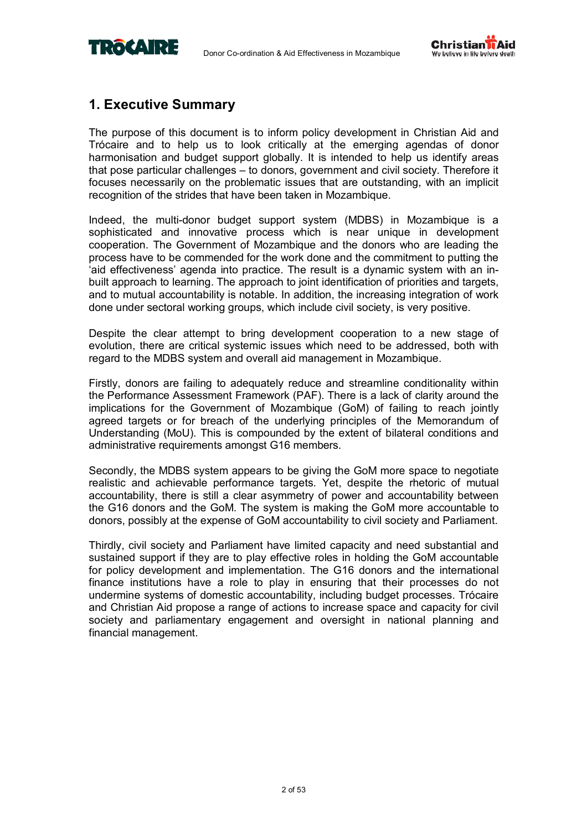



### **1. Executive Summary**

The purpose of this document is to inform policy development in Christian Aid and Trócaire and to help us to look critically at the emerging agendas of donor harmonisation and budget support globally. It is intended to help us identify areas that pose particular challenges – to donors, government and civil society. Therefore it focuses necessarily on the problematic issues that are outstanding, with an implicit recognition of the strides that have been taken in Mozambique.

Indeed, the multi-donor budget support system (MDBS) in Mozambique is a sophisticated and innovative process which is near unique in development cooperation. The Government of Mozambique and the donors who are leading the process have to be commended for the work done and the commitment to putting the 'aid effectiveness' agenda into practice. The result is a dynamic system with an inbuilt approach to learning. The approach to joint identification of priorities and targets, and to mutual accountability is notable. In addition, the increasing integration of work done under sectoral working groups, which include civil society, is very positive.

Despite the clear attempt to bring development cooperation to a new stage of evolution, there are critical systemic issues which need to be addressed, both with regard to the MDBS system and overall aid management in Mozambique.

Firstly, donors are failing to adequately reduce and streamline conditionality within the Performance Assessment Framework (PAF). There is a lack of clarity around the implications for the Government of Mozambique (GoM) of failing to reach jointly agreed targets or for breach of the underlying principles of the Memorandum of Understanding (MoU). This is compounded by the extent of bilateral conditions and administrative requirements amongst G16 members.

Secondly, the MDBS system appears to be giving the GoM more space to negotiate realistic and achievable performance targets. Yet, despite the rhetoric of mutual accountability, there is still a clear asymmetry of power and accountability between the G16 donors and the GoM. The system is making the GoM more accountable to donors, possibly at the expense of GoM accountability to civil society and Parliament.

Thirdly, civil society and Parliament have limited capacity and need substantial and sustained support if they are to play effective roles in holding the GoM accountable for policy development and implementation. The G16 donors and the international finance institutions have a role to play in ensuring that their processes do not undermine systems of domestic accountability, including budget processes. Trócaire and Christian Aid propose a range of actions to increase space and capacity for civil society and parliamentary engagement and oversight in national planning and financial management.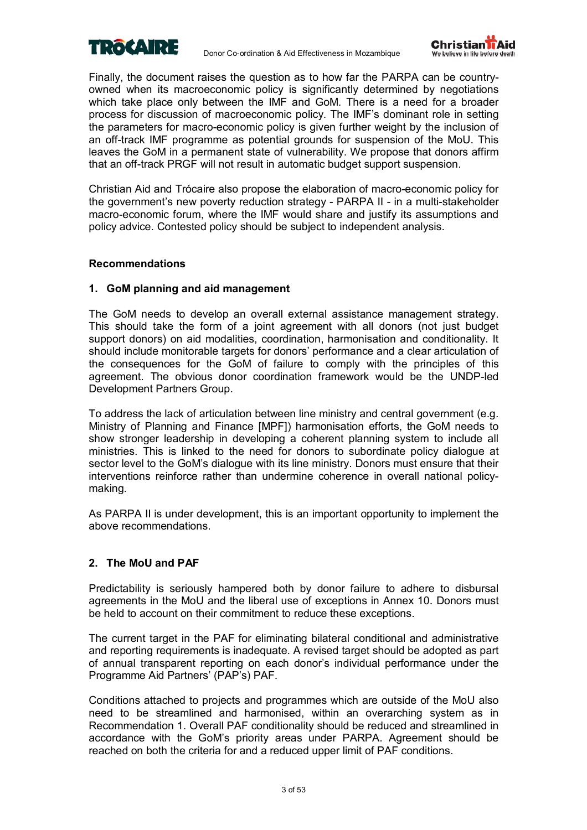



Finally, the document raises the question as to how far the PARPA can be countryowned when its macroeconomic policy is significantly determined by negotiations which take place only between the IMF and GoM. There is a need for a broader process for discussion of macroeconomic policy. The IMFís dominant role in setting the parameters for macro-economic policy is given further weight by the inclusion of an off-track IMF programme as potential grounds for suspension of the MoU. This leaves the GoM in a permanent state of vulnerability. We propose that donors affirm that an off-track PRGF will not result in automatic budget support suspension.

Christian Aid and Trócaire also propose the elaboration of macro-economic policy for the government's new poverty reduction strategy - PARPA II - in a multi-stakeholder macro-economic forum, where the IMF would share and justify its assumptions and policy advice. Contested policy should be subject to independent analysis.

### **Recommendations**

### **1. GoM planning and aid management**

The GoM needs to develop an overall external assistance management strategy. This should take the form of a joint agreement with all donors (not just budget support donors) on aid modalities, coordination, harmonisation and conditionality. It should include monitorable targets for donorsí performance and a clear articulation of the consequences for the GoM of failure to comply with the principles of this agreement. The obvious donor coordination framework would be the UNDP-led Development Partners Group.

To address the lack of articulation between line ministry and central government (e.g. Ministry of Planning and Finance [MPF]) harmonisation efforts, the GoM needs to show stronger leadership in developing a coherent planning system to include all ministries. This is linked to the need for donors to subordinate policy dialogue at sector level to the GoM's dialogue with its line ministry. Donors must ensure that their interventions reinforce rather than undermine coherence in overall national policymaking.

As PARPA II is under development, this is an important opportunity to implement the above recommendations.

### **2. The MoU and PAF**

Predictability is seriously hampered both by donor failure to adhere to disbursal agreements in the MoU and the liberal use of exceptions in Annex 10. Donors must be held to account on their commitment to reduce these exceptions.

The current target in the PAF for eliminating bilateral conditional and administrative and reporting requirements is inadequate. A revised target should be adopted as part of annual transparent reporting on each donorís individual performance under the Programme Aid Partners' (PAP's) PAF.

Conditions attached to projects and programmes which are outside of the MoU also need to be streamlined and harmonised, within an overarching system as in Recommendation 1. Overall PAF conditionality should be reduced and streamlined in accordance with the GoMís priority areas under PARPA. Agreement should be reached on both the criteria for and a reduced upper limit of PAF conditions.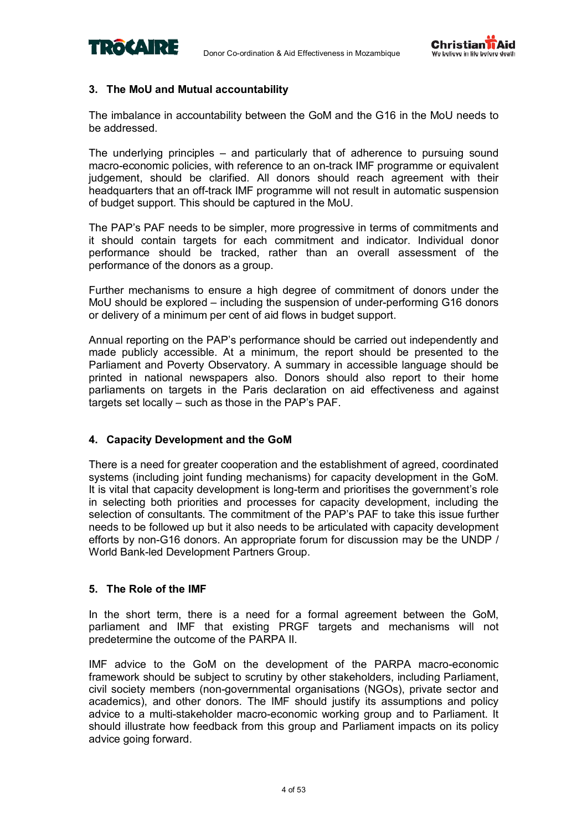



### **3. The MoU and Mutual accountability**

The imbalance in accountability between the GoM and the G16 in the MoU needs to be addressed.

The underlying principles  $-$  and particularly that of adherence to pursuing sound macro-economic policies, with reference to an on-track IMF programme or equivalent judgement, should be clarified. All donors should reach agreement with their headquarters that an off-track IMF programme will not result in automatic suspension of budget support. This should be captured in the MoU.

The PAP's PAF needs to be simpler, more progressive in terms of commitments and it should contain targets for each commitment and indicator. Individual donor performance should be tracked, rather than an overall assessment of the performance of the donors as a group.

Further mechanisms to ensure a high degree of commitment of donors under the MoU should be explored  $-$  including the suspension of under-performing G16 donors or delivery of a minimum per cent of aid flows in budget support.

Annual reporting on the PAPís performance should be carried out independently and made publicly accessible. At a minimum, the report should be presented to the Parliament and Poverty Observatory. A summary in accessible language should be printed in national newspapers also. Donors should also report to their home parliaments on targets in the Paris declaration on aid effectiveness and against targets set locally  $-$  such as those in the PAP's PAF.

### **4. Capacity Development and the GoM**

There is a need for greater cooperation and the establishment of agreed, coordinated systems (including joint funding mechanisms) for capacity development in the GoM. It is vital that capacity development is long-term and prioritises the government's role in selecting both priorities and processes for capacity development, including the selection of consultants. The commitment of the PAP's PAF to take this issue further needs to be followed up but it also needs to be articulated with capacity development efforts by non-G16 donors. An appropriate forum for discussion may be the UNDP / World Bank-led Development Partners Group.

### **5. The Role of the IMF**

In the short term, there is a need for a formal agreement between the GoM, parliament and IMF that existing PRGF targets and mechanisms will not predetermine the outcome of the PARPA II.

IMF advice to the GoM on the development of the PARPA macro-economic framework should be subject to scrutiny by other stakeholders, including Parliament, civil society members (non-governmental organisations (NGOs), private sector and academics), and other donors. The IMF should justify its assumptions and policy advice to a multi-stakeholder macro-economic working group and to Parliament. It should illustrate how feedback from this group and Parliament impacts on its policy advice going forward.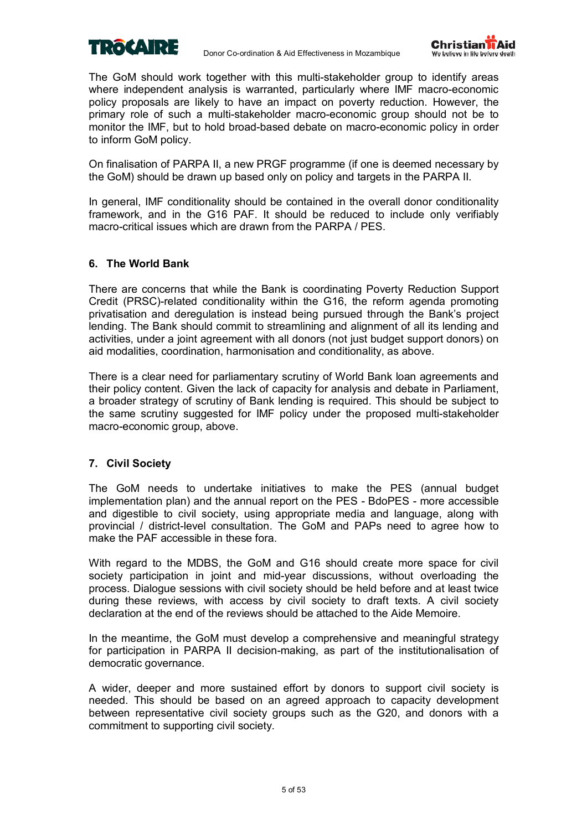



The GoM should work together with this multi-stakeholder group to identify areas where independent analysis is warranted, particularly where IMF macro-economic policy proposals are likely to have an impact on poverty reduction. However, the primary role of such a multi-stakeholder macro-economic group should not be to monitor the IMF, but to hold broad-based debate on macro-economic policy in order to inform GoM policy.

On finalisation of PARPA II, a new PRGF programme (if one is deemed necessary by the GoM) should be drawn up based only on policy and targets in the PARPA II.

In general, IMF conditionality should be contained in the overall donor conditionality framework, and in the G16 PAF. It should be reduced to include only verifiably macro-critical issues which are drawn from the PARPA / PES.

### **6. The World Bank**

There are concerns that while the Bank is coordinating Poverty Reduction Support Credit (PRSC)-related conditionality within the G16, the reform agenda promoting privatisation and deregulation is instead being pursued through the Bankís project lending. The Bank should commit to streamlining and alignment of all its lending and activities, under a joint agreement with all donors (not just budget support donors) on aid modalities, coordination, harmonisation and conditionality, as above.

There is a clear need for parliamentary scrutiny of World Bank loan agreements and their policy content. Given the lack of capacity for analysis and debate in Parliament, a broader strategy of scrutiny of Bank lending is required. This should be subject to the same scrutiny suggested for IMF policy under the proposed multi-stakeholder macro-economic group, above.

### **7. Civil Society**

The GoM needs to undertake initiatives to make the PES (annual budget implementation plan) and the annual report on the PES - BdoPES - more accessible and digestible to civil society, using appropriate media and language, along with provincial / district-level consultation. The GoM and PAPs need to agree how to make the PAF accessible in these fora.

With regard to the MDBS, the GoM and G16 should create more space for civil society participation in joint and mid-year discussions, without overloading the process. Dialogue sessions with civil society should be held before and at least twice during these reviews, with access by civil society to draft texts. A civil society declaration at the end of the reviews should be attached to the Aide Memoire.

In the meantime, the GoM must develop a comprehensive and meaningful strategy for participation in PARPA II decision-making, as part of the institutionalisation of democratic governance.

A wider, deeper and more sustained effort by donors to support civil society is needed. This should be based on an agreed approach to capacity development between representative civil society groups such as the G20, and donors with a commitment to supporting civil society.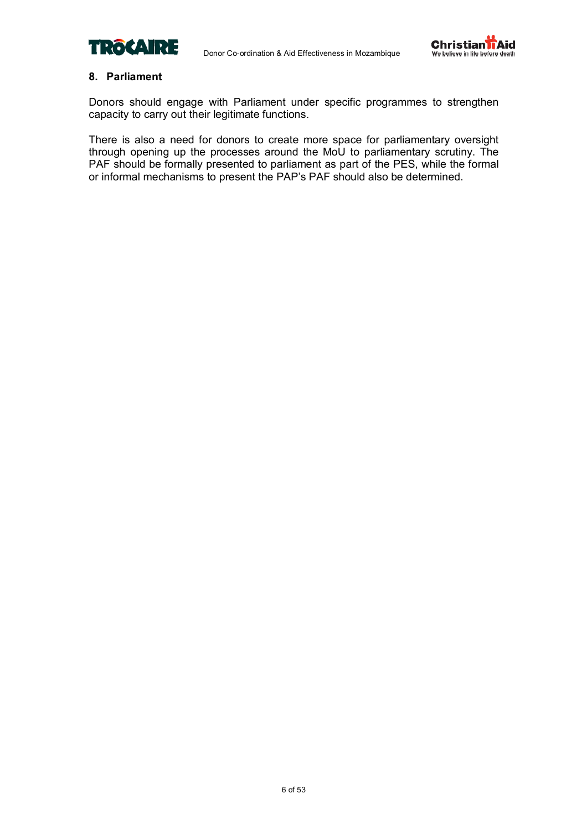



### **8. Parliament**

Donors should engage with Parliament under specific programmes to strengthen capacity to carry out their legitimate functions.

There is also a need for donors to create more space for parliamentary oversight through opening up the processes around the MoU to parliamentary scrutiny. The PAF should be formally presented to parliament as part of the PES, while the formal or informal mechanisms to present the PAP's PAF should also be determined.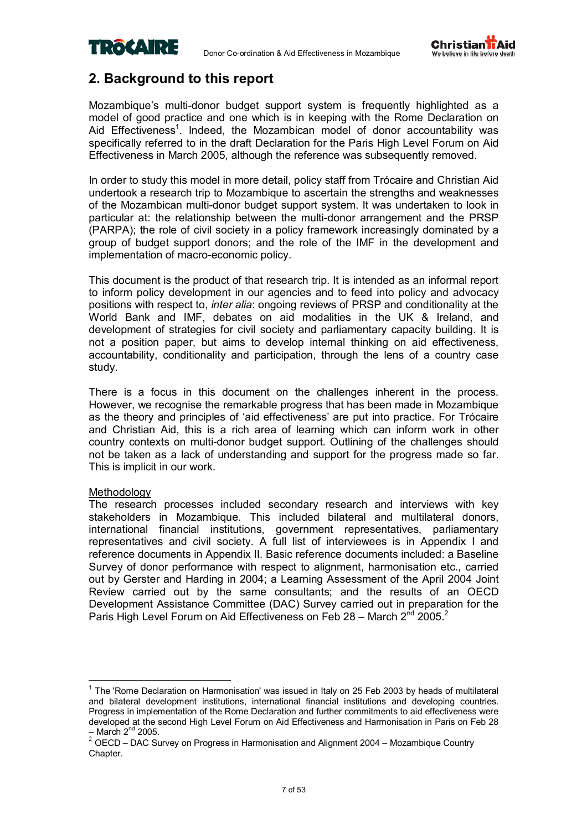



### **2. Background to this report**

Mozambique's multi-donor budget support system is frequently highlighted as a model of good practice and one which is in keeping with the Rome Declaration on Aid Effectiveness<sup>1</sup>. Indeed, the Mozambican model of donor accountability was specifically referred to in the draft Declaration for the Paris High Level Forum on Aid Effectiveness in March 2005, although the reference was subsequently removed.

In order to study this model in more detail, policy staff from Trócaire and Christian Aid undertook a research trip to Mozambique to ascertain the strengths and weaknesses of the Mozambican multi-donor budget support system. It was undertaken to look in particular at: the relationship between the multi-donor arrangement and the PRSP (PARPA); the role of civil society in a policy framework increasingly dominated by a group of budget support donors; and the role of the IMF in the development and implementation of macro-economic policy.

This document is the product of that research trip. It is intended as an informal report to inform policy development in our agencies and to feed into policy and advocacy positions with respect to, *inter alia*: ongoing reviews of PRSP and conditionality at the World Bank and IMF, debates on aid modalities in the UK & Ireland, and development of strategies for civil society and parliamentary capacity building. It is not a position paper, but aims to develop internal thinking on aid effectiveness, accountability, conditionality and participation, through the lens of a country case study.

There is a focus in this document on the challenges inherent in the process. However, we recognise the remarkable progress that has been made in Mozambique as the theory and principles of 'aid effectiveness' are put into practice. For Trócaire and Christian Aid, this is a rich area of learning which can inform work in other country contexts on multi-donor budget support. Outlining of the challenges should not be taken as a lack of understanding and support for the progress made so far. This is implicit in our work.

### Methodology

 $\overline{1}$ 

The research processes included secondary research and interviews with key stakeholders in Mozambique. This included bilateral and multilateral donors, international financial institutions, government representatives, parliamentary representatives and civil society. A full list of interviewees is in Appendix I and reference documents in Appendix II. Basic reference documents included: a Baseline Survey of donor performance with respect to alignment, harmonisation etc., carried out by Gerster and Harding in 2004; a Learning Assessment of the April 2004 Joint Review carried out by the same consultants; and the results of an OECD Development Assistance Committee (DAC) Survey carried out in preparation for the Paris High Level Forum on Aid Effectiveness on Feb 28 – March 2<sup>nd</sup> 2005.<sup>2</sup>

<sup>&</sup>lt;sup>1</sup> The 'Rome Declaration on Harmonisation' was issued in Italy on 25 Feb 2003 by heads of multilateral and bilateral development institutions, international financial institutions and developing countries. Progress in implementation of the Rome Declaration and further commitments to aid effectiveness were developed at the second High Level Forum on Aid Effectiveness and Harmonisation in Paris on Feb 28

n March 2<sup>nd</sup> 2005.<br>
2 OECD – DAC Survey on Progress in Harmonisation and Alignment 2004 – Mozambique Country Chapter.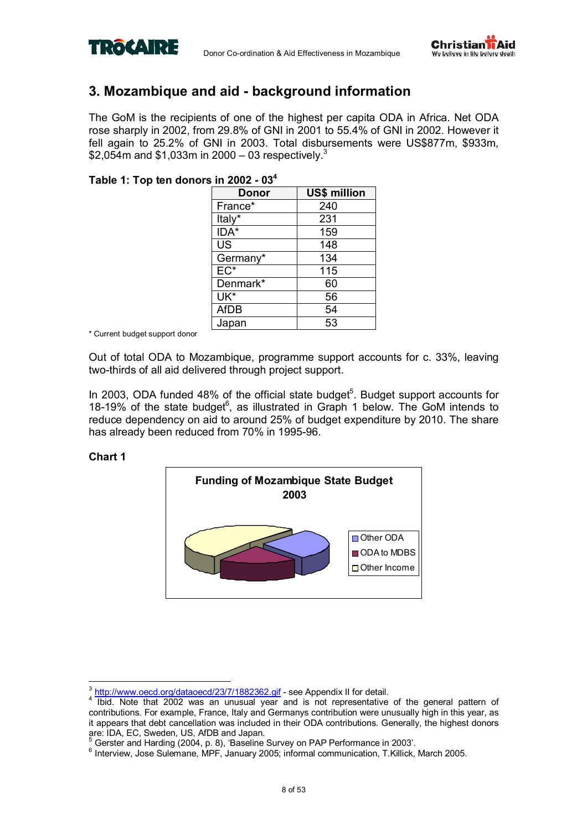



### **3. Mozambique and aid - background information**

The GoM is the recipients of one of the highest per capita ODA in Africa. Net ODA rose sharply in 2002, from 29.8% of GNI in 2001 to 55.4% of GNI in 2002. However it fell again to 25.2% of GNI in 2003. Total disbursements were US\$877m, \$933m, \$2,054m and \$1,033m in 2000 – 03 respectively.<sup>3</sup>

### **Table 1: Top ten donors in 2002 - 034**

| Donor       | <b>US\$ million</b> |
|-------------|---------------------|
| France*     | 240                 |
| Italy*      | 231                 |
| IDA*        | 159                 |
| <b>US</b>   | 148                 |
| Germany*    | 134                 |
| $EC^*$      | 115                 |
| Denmark*    | 60                  |
| UK*         | 56                  |
| <b>AfDB</b> | 54                  |
| Japan       | 53                  |

\* Current budget support donor

Out of total ODA to Mozambique, programme support accounts for c. 33%, leaving two-thirds of all aid delivered through project support.

In 2003, ODA funded 48% of the official state budget<sup>5</sup>. Budget support accounts for 18-19% of the state budget $6$ , as illustrated in Graph 1 below. The GoM intends to reduce dependency on aid to around 25% of budget expenditure by 2010. The share has already been reduced from 70% in 1995-96.

### **Chart 1**



 $\overline{1}$  $\frac{3 \text{ http://www.oecd.org/dataoecd/23/7/1882362_gif}}{1 \text{ high-Moto that } 2003 \text{ were an invalid work.}$ 

Internative that 2002 was an unusual year and is not representative of the general pattern of contributions. For example, France, Italy and Germanys contribution were unusually high in this year, as it appears that debt cancellation was included in their ODA contributions. Generally, the highest donors

are: IDA, EC, Sweden, US, AfDB and Japan.<br><sup>5</sup> Gerster and Harding (2004, p. 8), 'Baseline Survey on PAP Performance in 2003'.

<sup>6</sup> Interview, Jose Sulemane, MPF, January 2005; informal communication, T.Killick, March 2005.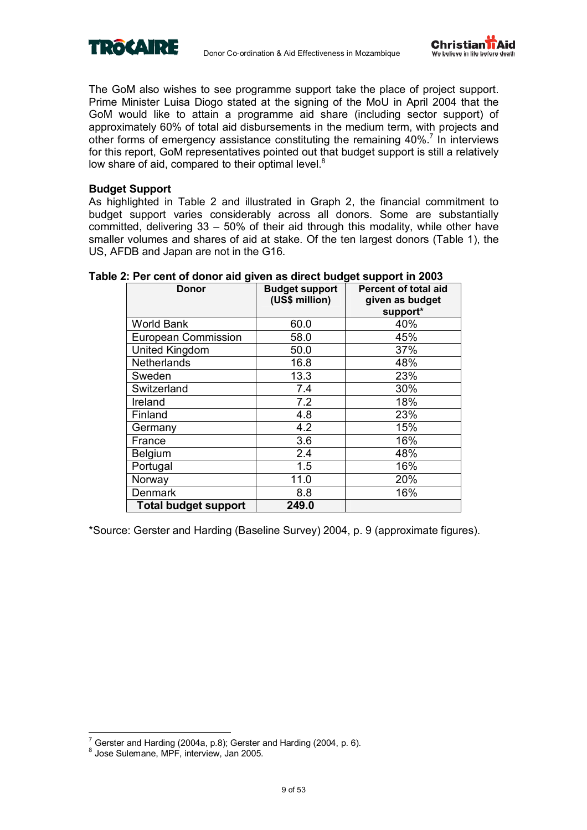



The GoM also wishes to see programme support take the place of project support. Prime Minister Luisa Diogo stated at the signing of the MoU in April 2004 that the GoM would like to attain a programme aid share (including sector support) of approximately 60% of total aid disbursements in the medium term, with projects and other forms of emergency assistance constituting the remaining  $40\%$ <sup>7</sup> In interviews for this report, GoM representatives pointed out that budget support is still a relatively low share of aid, compared to their optimal level. $8$ 

### **Budget Support**

As highlighted in Table 2 and illustrated in Graph 2, the financial commitment to budget support varies considerably across all donors. Some are substantially committed, delivering  $33 - 50\%$  of their aid through this modality, while other have smaller volumes and shares of aid at stake. Of the ten largest donors (Table 1), the US, AFDB and Japan are not in the G16.

| ≂<br><b>Donor</b>           | <b>Budget support</b><br>(US\$ million) | J--<br><b>Percent of total aid</b><br>given as budget<br>support* |
|-----------------------------|-----------------------------------------|-------------------------------------------------------------------|
| <b>World Bank</b>           | 60.0                                    | 40%                                                               |
| <b>European Commission</b>  | 58.0                                    | 45%                                                               |
| United Kingdom              | 50.0                                    | 37%                                                               |
| <b>Netherlands</b>          | 16.8                                    | 48%                                                               |
| Sweden                      | 13.3                                    | 23%                                                               |
| Switzerland                 | 7.4                                     | 30%                                                               |
| Ireland                     | 7.2                                     | 18%                                                               |
| Finland                     | 4.8                                     | 23%                                                               |
| Germany                     | 4.2                                     | 15%                                                               |
| France                      | 3.6                                     | 16%                                                               |
| <b>Belgium</b>              | 2.4                                     | 48%                                                               |
| Portugal                    | 1.5                                     | 16%                                                               |
| Norway                      | 11.0                                    | 20%                                                               |
| <b>Denmark</b>              | 8.8                                     | 16%                                                               |
| <b>Total budget support</b> | 249.0                                   |                                                                   |

### **Table 2: Per cent of donor aid given as direct budget support in 2003**

\*Source: Gerster and Harding (Baseline Survey) 2004, p. 9 (approximate figures).

 $\overline{a}$ 

 $7$  Gerster and Harding (2004a, p.8); Gerster and Harding (2004, p. 6).

<sup>8</sup> Jose Sulemane, MPF, interview, Jan 2005.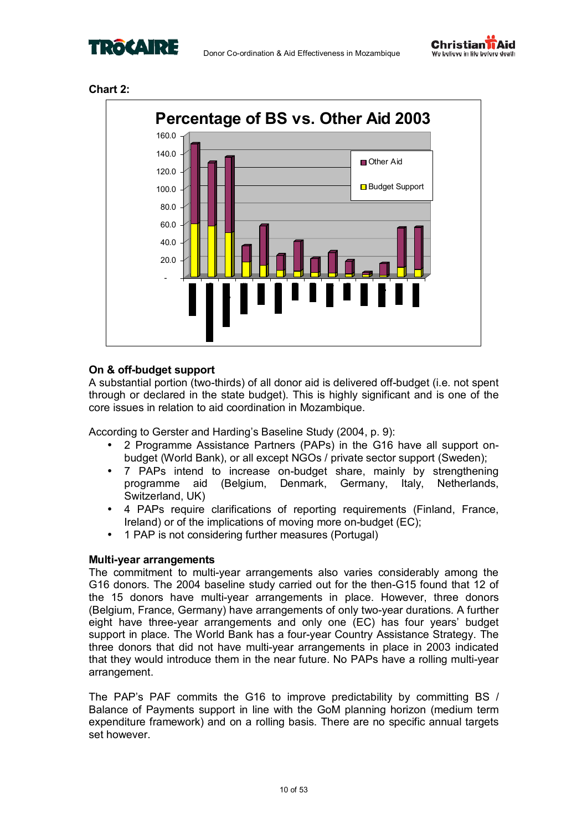







### **On & off-budget support**

A substantial portion (two-thirds) of all donor aid is delivered off-budget (i.e. not spent through or declared in the state budget). This is highly significant and is one of the core issues in relation to aid coordination in Mozambique.

According to Gerster and Harding's Baseline Study (2004, p. 9):

- 2 Programme Assistance Partners (PAPs) in the G16 have all support onbudget (World Bank), or all except NGOs / private sector support (Sweden);
- 7 PAPs intend to increase on-budget share, mainly by strengthening programme aid (Belgium, Denmark, Germany, Italy, Netherlands, Switzerland, UK)
- 4 PAPs require clarifications of reporting requirements (Finland, France, Ireland) or of the implications of moving more on-budget (EC);
- 1 PAP is not considering further measures (Portugal)

### **Multi-year arrangements**

The commitment to multi-year arrangements also varies considerably among the G16 donors. The 2004 baseline study carried out for the then-G15 found that 12 of the 15 donors have multi-year arrangements in place. However, three donors (Belgium, France, Germany) have arrangements of only two-year durations. A further eight have three-year arrangements and only one (EC) has four yearsí budget support in place. The World Bank has a four-year Country Assistance Strategy. The three donors that did not have multi-year arrangements in place in 2003 indicated that they would introduce them in the near future. No PAPs have a rolling multi-year arrangement.

The PAP's PAF commits the G16 to improve predictability by committing BS / Balance of Payments support in line with the GoM planning horizon (medium term expenditure framework) and on a rolling basis. There are no specific annual targets set however.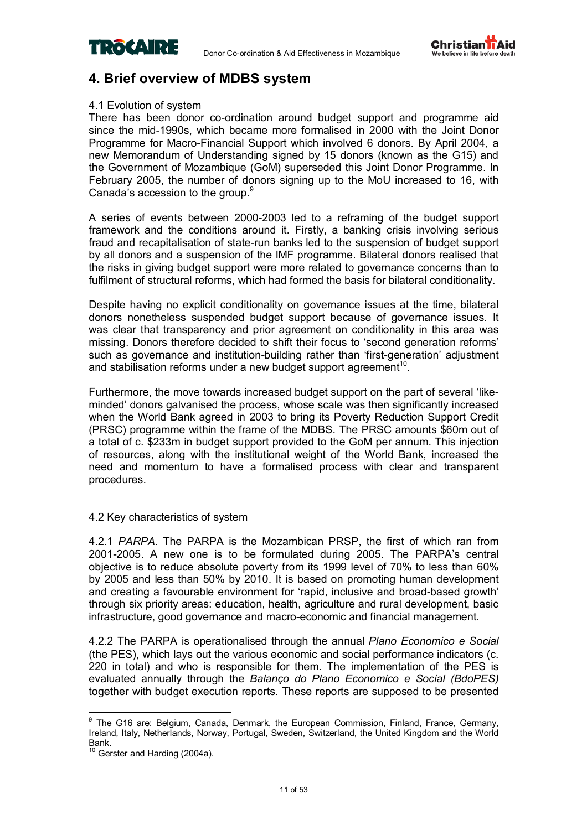



### **4. Brief overview of MDBS system**

### 4.1 Evolution of system

There has been donor co-ordination around budget support and programme aid since the mid-1990s, which became more formalised in 2000 with the Joint Donor Programme for Macro-Financial Support which involved 6 donors. By April 2004, a new Memorandum of Understanding signed by 15 donors (known as the G15) and the Government of Mozambique (GoM) superseded this Joint Donor Programme. In February 2005, the number of donors signing up to the MoU increased to 16, with Canada's accession to the group.<sup>9</sup>

A series of events between 2000-2003 led to a reframing of the budget support framework and the conditions around it. Firstly, a banking crisis involving serious fraud and recapitalisation of state-run banks led to the suspension of budget support by all donors and a suspension of the IMF programme. Bilateral donors realised that the risks in giving budget support were more related to governance concerns than to fulfilment of structural reforms, which had formed the basis for bilateral conditionality.

Despite having no explicit conditionality on governance issues at the time, bilateral donors nonetheless suspended budget support because of governance issues. It was clear that transparency and prior agreement on conditionality in this area was missing. Donors therefore decided to shift their focus to 'second generation reforms' such as governance and institution-building rather than 'first-generation' adjustment and stabilisation reforms under a new budget support agreement<sup>10</sup>.

Furthermore, the move towards increased budget support on the part of several 'likeminded' donors galvanised the process, whose scale was then significantly increased when the World Bank agreed in 2003 to bring its Poverty Reduction Support Credit (PRSC) programme within the frame of the MDBS. The PRSC amounts \$60m out of a total of c. \$233m in budget support provided to the GoM per annum. This injection of resources, along with the institutional weight of the World Bank, increased the need and momentum to have a formalised process with clear and transparent procedures.

### 4.2 Key characteristics of system

4.2.1 *PARPA*. The PARPA is the Mozambican PRSP, the first of which ran from 2001-2005. A new one is to be formulated during 2005. The PARPAís central objective is to reduce absolute poverty from its 1999 level of 70% to less than 60% by 2005 and less than 50% by 2010. It is based on promoting human development and creating a favourable environment for 'rapid, inclusive and broad-based growth' through six priority areas: education, health, agriculture and rural development, basic infrastructure, good governance and macro-economic and financial management.

4.2.2 The PARPA is operationalised through the annual *Plano Economico e Social* (the PES), which lays out the various economic and social performance indicators (c. 220 in total) and who is responsible for them. The implementation of the PES is evaluated annually through the *Balanço do Plano Economico e Social (BdoPES)* together with budget execution reports*.* These reports are supposed to be presented

<sup>&</sup>lt;u>nd and the community of the community of the Curan Commission, Finland, France, Germany, and the G16 are: Belgium, Canada, Denmark, the European Commission, Finland, France, Germany,</u> Ireland, Italy, Netherlands, Norway, Portugal, Sweden, Switzerland, the United Kingdom and the World Bank.

 $10$  Gerster and Harding (2004a).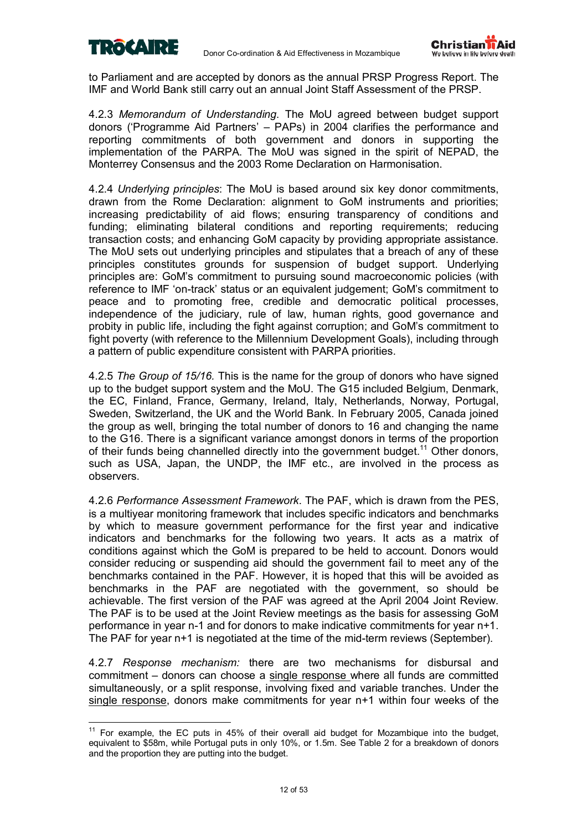

 $\overline{a}$ 



to Parliament and are accepted by donors as the annual PRSP Progress Report. The IMF and World Bank still carry out an annual Joint Staff Assessment of the PRSP.

4.2.3 *Memorandum of Understanding*. The MoU agreed between budget support donors ('Programme Aid Partners' – PAPs) in 2004 clarifies the performance and reporting commitments of both government and donors in supporting the implementation of the PARPA. The MoU was signed in the spirit of NEPAD, the Monterrey Consensus and the 2003 Rome Declaration on Harmonisation.

4.2.4 *Underlying principles*: The MoU is based around six key donor commitments, drawn from the Rome Declaration: alignment to GoM instruments and priorities; increasing predictability of aid flows; ensuring transparency of conditions and funding; eliminating bilateral conditions and reporting requirements; reducing transaction costs; and enhancing GoM capacity by providing appropriate assistance. The MoU sets out underlying principles and stipulates that a breach of any of these principles constitutes grounds for suspension of budget support. Underlying principles are: GoMís commitment to pursuing sound macroeconomic policies (with reference to IMF ëon-trackí status or an equivalent judgement; GoMís commitment to peace and to promoting free, credible and democratic political processes, independence of the judiciary, rule of law, human rights, good governance and probity in public life, including the fight against corruption; and GoMís commitment to fight poverty (with reference to the Millennium Development Goals), including through a pattern of public expenditure consistent with PARPA priorities.

4.2.5 *The Group of 15/16.* This is the name for the group of donors who have signed up to the budget support system and the MoU. The G15 included Belgium, Denmark, the EC, Finland, France, Germany, Ireland, Italy, Netherlands, Norway, Portugal, Sweden, Switzerland, the UK and the World Bank. In February 2005, Canada joined the group as well, bringing the total number of donors to 16 and changing the name to the G16. There is a significant variance amongst donors in terms of the proportion of their funds being channelled directly into the government budget.<sup>11</sup> Other donors, such as USA, Japan, the UNDP, the IMF etc., are involved in the process as observers.

4.2.6 *Performance Assessment Framework*. The PAF, which is drawn from the PES, is a multiyear monitoring framework that includes specific indicators and benchmarks by which to measure government performance for the first year and indicative indicators and benchmarks for the following two years. It acts as a matrix of conditions against which the GoM is prepared to be held to account. Donors would consider reducing or suspending aid should the government fail to meet any of the benchmarks contained in the PAF. However, it is hoped that this will be avoided as benchmarks in the PAF are negotiated with the government, so should be achievable. The first version of the PAF was agreed at the April 2004 Joint Review. The PAF is to be used at the Joint Review meetings as the basis for assessing GoM performance in year n-1 and for donors to make indicative commitments for year n+1. The PAF for year n+1 is negotiated at the time of the mid-term reviews (September).

4.2.7 *Response mechanism:* there are two mechanisms for disbursal and commitment – donors can choose a single response where all funds are committed simultaneously, or a split response, involving fixed and variable tranches. Under the single response, donors make commitments for year n+1 within four weeks of the

 $11$  For example, the EC puts in 45% of their overall aid budget for Mozambique into the budget, equivalent to \$58m, while Portugal puts in only 10%, or 1.5m. See Table 2 for a breakdown of donors and the proportion they are putting into the budget.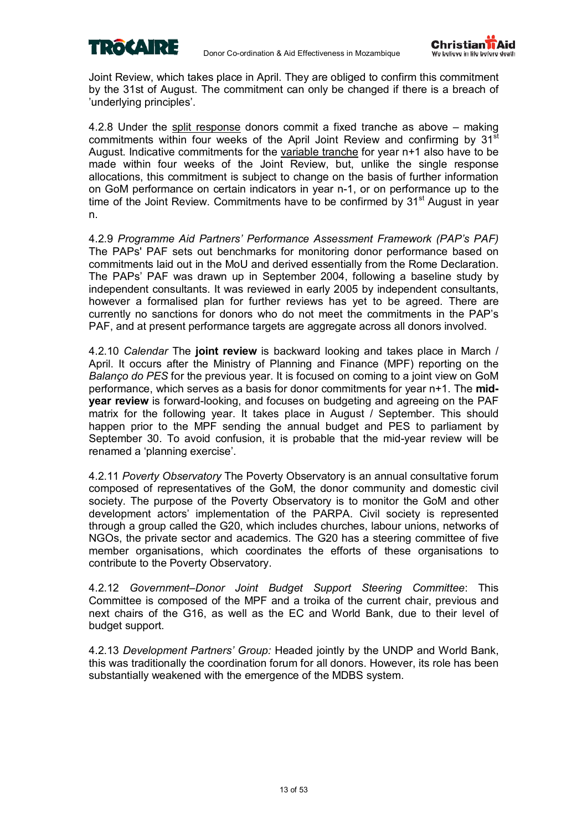



Joint Review, which takes place in April. They are obliged to confirm this commitment by the 31st of August. The commitment can only be changed if there is a breach of 'underlying principles'.

4.2.8 Under the split response donors commit a fixed tranche as above  $-$  making commitments within four weeks of the April Joint Review and confirming by  $31^{\overline{st}}$ August. Indicative commitments for the variable tranche for year n+1 also have to be made within four weeks of the Joint Review, but, unlike the single response allocations, this commitment is subject to change on the basis of further information on GoM performance on certain indicators in year n-1, or on performance up to the time of the Joint Review. Commitments have to be confirmed by 31<sup>st</sup> August in year n.

4.2.9 *Programme Aid Partnersí Performance Assessment Framework (PAPís PAF)*  The PAPs' PAF sets out benchmarks for monitoring donor performance based on commitments laid out in the MoU and derived essentially from the Rome Declaration. The PAPs' PAF was drawn up in September 2004, following a baseline study by independent consultants. It was reviewed in early 2005 by independent consultants, however a formalised plan for further reviews has yet to be agreed. There are currently no sanctions for donors who do not meet the commitments in the PAPís PAF, and at present performance targets are aggregate across all donors involved.

4.2.10 *Calendar* The **joint review** is backward looking and takes place in March / April. It occurs after the Ministry of Planning and Finance (MPF) reporting on the *Balanço do PES* for the previous year. It is focused on coming to a joint view on GoM performance, which serves as a basis for donor commitments for year n+1. The **midyear review** is forward-looking, and focuses on budgeting and agreeing on the PAF matrix for the following year. It takes place in August / September. This should happen prior to the MPF sending the annual budget and PES to parliament by September 30. To avoid confusion, it is probable that the mid-year review will be renamed a 'planning exercise'.

4.2.11 *Poverty Observatory* The Poverty Observatory is an annual consultative forum composed of representatives of the GoM, the donor community and domestic civil society. The purpose of the Poverty Observatory is to monitor the GoM and other development actors' implementation of the PARPA. Civil society is represented through a group called the G20, which includes churches, labour unions, networks of NGOs, the private sector and academics. The G20 has a steering committee of five member organisations, which coordinates the efforts of these organisations to contribute to the Poverty Observatory.

4.2.12 *Government-Donor Joint Budget Support Steering Committee: This* Committee is composed of the MPF and a troika of the current chair, previous and next chairs of the G16, as well as the EC and World Bank, due to their level of budget support.

4.2.13 *Development Partnersí Group:* Headed jointly by the UNDP and World Bank, this was traditionally the coordination forum for all donors. However, its role has been substantially weakened with the emergence of the MDBS system.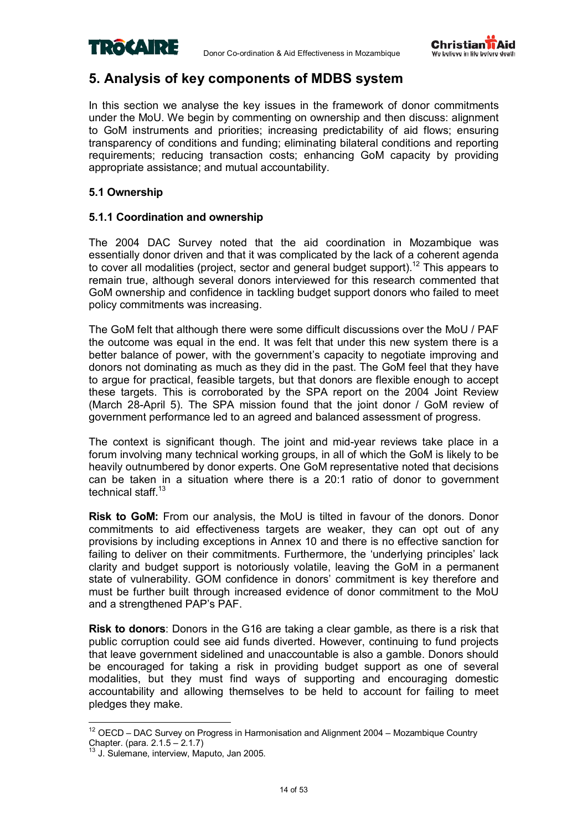



### **5. Analysis of key components of MDBS system**

In this section we analyse the key issues in the framework of donor commitments under the MoU. We begin by commenting on ownership and then discuss: alignment to GoM instruments and priorities; increasing predictability of aid flows; ensuring transparency of conditions and funding; eliminating bilateral conditions and reporting requirements; reducing transaction costs; enhancing GoM capacity by providing appropriate assistance; and mutual accountability.

### **5.1 Ownership**

### **5.1.1 Coordination and ownership**

The 2004 DAC Survey noted that the aid coordination in Mozambique was essentially donor driven and that it was complicated by the lack of a coherent agenda to cover all modalities (project, sector and general budget support).<sup>12</sup> This appears to remain true, although several donors interviewed for this research commented that GoM ownership and confidence in tackling budget support donors who failed to meet policy commitments was increasing.

The GoM felt that although there were some difficult discussions over the MoU / PAF the outcome was equal in the end. It was felt that under this new system there is a better balance of power, with the government's capacity to negotiate improving and donors not dominating as much as they did in the past. The GoM feel that they have to argue for practical, feasible targets, but that donors are flexible enough to accept these targets. This is corroborated by the SPA report on the 2004 Joint Review (March 28-April 5). The SPA mission found that the joint donor / GoM review of government performance led to an agreed and balanced assessment of progress.

The context is significant though. The joint and mid-year reviews take place in a forum involving many technical working groups, in all of which the GoM is likely to be heavily outnumbered by donor experts. One GoM representative noted that decisions can be taken in a situation where there is a 20:1 ratio of donor to government technical staff.<sup>13</sup>

**Risk to GoM:** From our analysis, the MoU is tilted in favour of the donors. Donor commitments to aid effectiveness targets are weaker, they can opt out of any provisions by including exceptions in Annex 10 and there is no effective sanction for failing to deliver on their commitments. Furthermore, the 'underlying principles' lack clarity and budget support is notoriously volatile, leaving the GoM in a permanent state of vulnerability. GOM confidence in donors' commitment is key therefore and must be further built through increased evidence of donor commitment to the MoU and a strengthened PAP's PAF.

**Risk to donors**: Donors in the G16 are taking a clear gamble, as there is a risk that public corruption could see aid funds diverted. However, continuing to fund projects that leave government sidelined and unaccountable is also a gamble. Donors should be encouraged for taking a risk in providing budget support as one of several modalities, but they must find ways of supporting and encouraging domestic accountability and allowing themselves to be held to account for failing to meet pledges they make.

 $\overline{a}$  $12$  OECD – DAC Survey on Progress in Harmonisation and Alignment 2004 – Mozambique Country Chapter. (para.  $2.1.5 - 2.1.7$ )

 $3$  J. Sulemane, interview, Maputo, Jan 2005.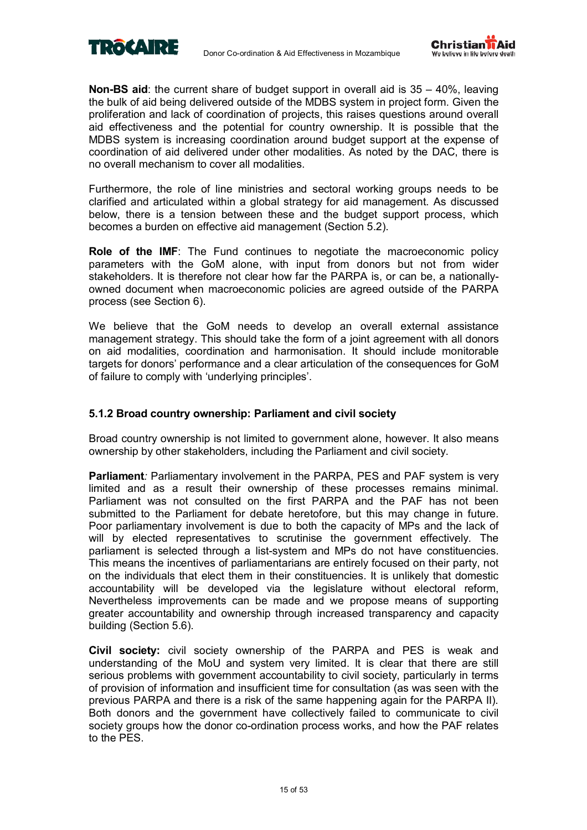



**Non-BS aid:** the current share of budget support in overall aid is 35 – 40%, leaving the bulk of aid being delivered outside of the MDBS system in project form. Given the proliferation and lack of coordination of projects, this raises questions around overall aid effectiveness and the potential for country ownership. It is possible that the MDBS system is increasing coordination around budget support at the expense of coordination of aid delivered under other modalities. As noted by the DAC, there is no overall mechanism to cover all modalities.

Furthermore, the role of line ministries and sectoral working groups needs to be clarified and articulated within a global strategy for aid management. As discussed below, there is a tension between these and the budget support process, which becomes a burden on effective aid management (Section 5.2).

**Role of the IMF**: The Fund continues to negotiate the macroeconomic policy parameters with the GoM alone, with input from donors but not from wider stakeholders. It is therefore not clear how far the PARPA is, or can be, a nationallyowned document when macroeconomic policies are agreed outside of the PARPA process (see Section 6).

We believe that the GoM needs to develop an overall external assistance management strategy. This should take the form of a joint agreement with all donors on aid modalities, coordination and harmonisation. It should include monitorable targets for donorsí performance and a clear articulation of the consequences for GoM of failure to comply with 'underlying principles'.

### **5.1.2 Broad country ownership: Parliament and civil society**

Broad country ownership is not limited to government alone, however. It also means ownership by other stakeholders, including the Parliament and civil society.

**Parliament***:* Parliamentary involvement in the PARPA, PES and PAF system is very limited and as a result their ownership of these processes remains minimal. Parliament was not consulted on the first PARPA and the PAF has not been submitted to the Parliament for debate heretofore, but this may change in future. Poor parliamentary involvement is due to both the capacity of MPs and the lack of will by elected representatives to scrutinise the government effectively. The parliament is selected through a list-system and MPs do not have constituencies. This means the incentives of parliamentarians are entirely focused on their party, not on the individuals that elect them in their constituencies. It is unlikely that domestic accountability will be developed via the legislature without electoral reform, Nevertheless improvements can be made and we propose means of supporting greater accountability and ownership through increased transparency and capacity building (Section 5.6).

**Civil society:** civil society ownership of the PARPA and PES is weak and understanding of the MoU and system very limited. It is clear that there are still serious problems with government accountability to civil society, particularly in terms of provision of information and insufficient time for consultation (as was seen with the previous PARPA and there is a risk of the same happening again for the PARPA II). Both donors and the government have collectively failed to communicate to civil society groups how the donor co-ordination process works, and how the PAF relates to the PES.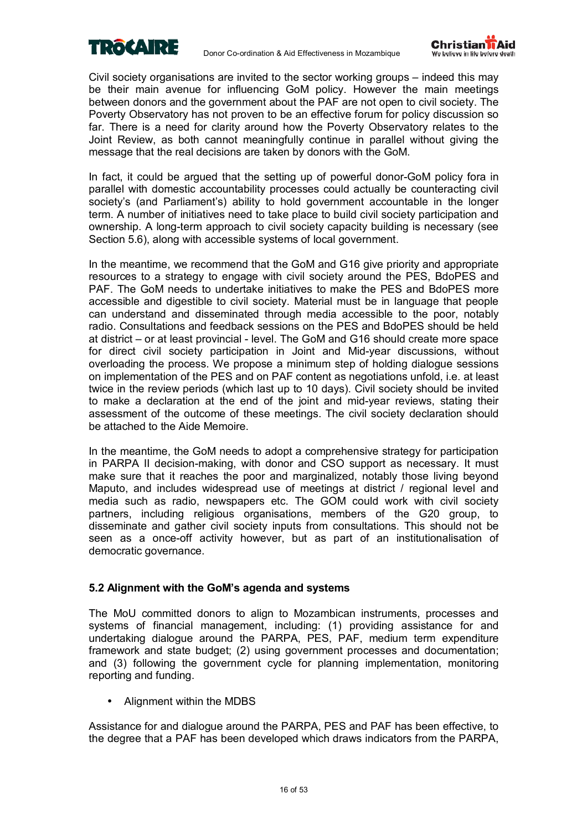



Civil society organisations are invited to the sector working groups  $-$  indeed this may be their main avenue for influencing GoM policy. However the main meetings between donors and the government about the PAF are not open to civil society. The Poverty Observatory has not proven to be an effective forum for policy discussion so far. There is a need for clarity around how the Poverty Observatory relates to the Joint Review, as both cannot meaningfully continue in parallel without giving the message that the real decisions are taken by donors with the GoM.

In fact, it could be argued that the setting up of powerful donor-GoM policy fora in parallel with domestic accountability processes could actually be counteracting civil society's (and Parliament's) ability to hold government accountable in the longer term. A number of initiatives need to take place to build civil society participation and ownership. A long-term approach to civil society capacity building is necessary (see Section 5.6), along with accessible systems of local government.

In the meantime, we recommend that the GoM and G16 give priority and appropriate resources to a strategy to engage with civil society around the PES, BdoPES and PAF. The GoM needs to undertake initiatives to make the PES and BdoPES more accessible and digestible to civil society. Material must be in language that people can understand and disseminated through media accessible to the poor, notably radio. Consultations and feedback sessions on the PES and BdoPES should be held at district – or at least provincial - level. The GoM and G16 should create more space for direct civil society participation in Joint and Mid-year discussions, without overloading the process. We propose a minimum step of holding dialogue sessions on implementation of the PES and on PAF content as negotiations unfold, i.e. at least twice in the review periods (which last up to 10 days). Civil society should be invited to make a declaration at the end of the joint and mid-year reviews, stating their assessment of the outcome of these meetings. The civil society declaration should be attached to the Aide Memoire.

In the meantime, the GoM needs to adopt a comprehensive strategy for participation in PARPA II decision-making, with donor and CSO support as necessary. It must make sure that it reaches the poor and marginalized, notably those living beyond Maputo, and includes widespread use of meetings at district / regional level and media such as radio, newspapers etc. The GOM could work with civil society partners, including religious organisations, members of the G20 group, to disseminate and gather civil society inputs from consultations. This should not be seen as a once-off activity however, but as part of an institutionalisation of democratic governance.

### **5.2 Alignment with the GoMís agenda and systems**

The MoU committed donors to align to Mozambican instruments, processes and systems of financial management, including: (1) providing assistance for and undertaking dialogue around the PARPA, PES, PAF, medium term expenditure framework and state budget; (2) using government processes and documentation; and (3) following the government cycle for planning implementation, monitoring reporting and funding.

• Alignment within the MDBS

Assistance for and dialogue around the PARPA, PES and PAF has been effective, to the degree that a PAF has been developed which draws indicators from the PARPA,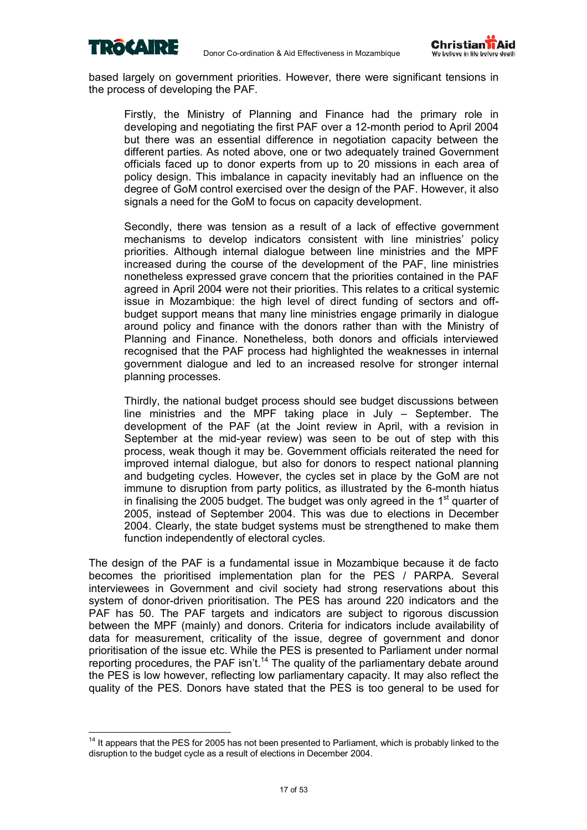

 $\overline{a}$ 



based largely on government priorities. However, there were significant tensions in the process of developing the PAF.

Firstly, the Ministry of Planning and Finance had the primary role in developing and negotiating the first PAF over a 12-month period to April 2004 but there was an essential difference in negotiation capacity between the different parties. As noted above, one or two adequately trained Government officials faced up to donor experts from up to 20 missions in each area of policy design. This imbalance in capacity inevitably had an influence on the degree of GoM control exercised over the design of the PAF. However, it also signals a need for the GoM to focus on capacity development.

Secondly, there was tension as a result of a lack of effective government mechanisms to develop indicators consistent with line ministries' policy priorities. Although internal dialogue between line ministries and the MPF increased during the course of the development of the PAF, line ministries nonetheless expressed grave concern that the priorities contained in the PAF agreed in April 2004 were not their priorities. This relates to a critical systemic issue in Mozambique: the high level of direct funding of sectors and offbudget support means that many line ministries engage primarily in dialogue around policy and finance with the donors rather than with the Ministry of Planning and Finance. Nonetheless, both donors and officials interviewed recognised that the PAF process had highlighted the weaknesses in internal government dialogue and led to an increased resolve for stronger internal planning processes.

Thirdly, the national budget process should see budget discussions between line ministries and the MPF taking place in July  $-$  September. The development of the PAF (at the Joint review in April, with a revision in September at the mid-year review) was seen to be out of step with this process, weak though it may be. Government officials reiterated the need for improved internal dialogue, but also for donors to respect national planning and budgeting cycles. However, the cycles set in place by the GoM are not immune to disruption from party politics, as illustrated by the 6-month hiatus in finalising the 2005 budget. The budget was only agreed in the  $1<sup>st</sup>$  quarter of 2005, instead of September 2004. This was due to elections in December 2004. Clearly, the state budget systems must be strengthened to make them function independently of electoral cycles.

The design of the PAF is a fundamental issue in Mozambique because it de facto becomes the prioritised implementation plan for the PES / PARPA. Several interviewees in Government and civil society had strong reservations about this system of donor-driven prioritisation. The PES has around 220 indicators and the PAF has 50. The PAF targets and indicators are subject to rigorous discussion between the MPF (mainly) and donors. Criteria for indicators include availability of data for measurement, criticality of the issue, degree of government and donor prioritisation of the issue etc. While the PES is presented to Parliament under normal reporting procedures, the PAF isn't.<sup>14</sup> The quality of the parliamentary debate around the PES is low however, reflecting low parliamentary capacity. It may also reflect the quality of the PES. Donors have stated that the PES is too general to be used for

<sup>&</sup>lt;sup>14</sup> It appears that the PES for 2005 has not been presented to Parliament, which is probably linked to the disruption to the budget cycle as a result of elections in December 2004.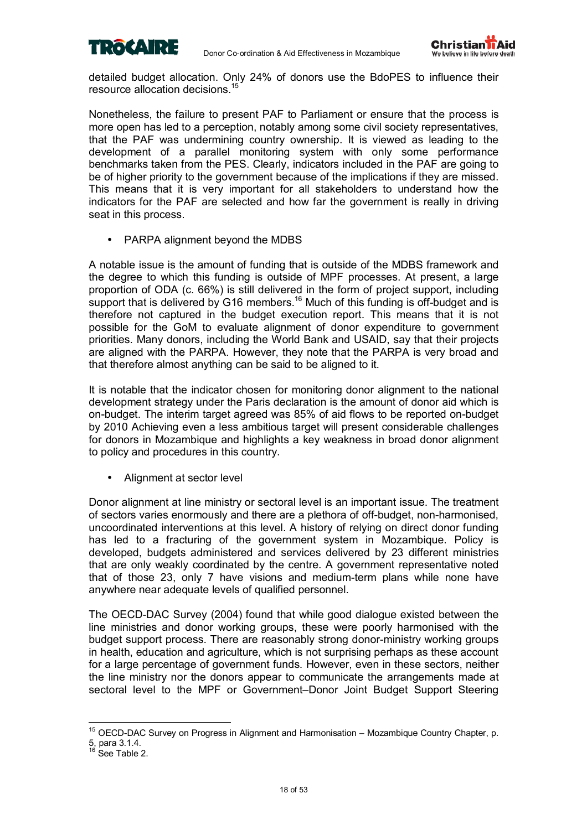



detailed budget allocation. Only 24% of donors use the BdoPES to influence their resource allocation decisions.15

Nonetheless, the failure to present PAF to Parliament or ensure that the process is more open has led to a perception, notably among some civil society representatives, that the PAF was undermining country ownership. It is viewed as leading to the development of a parallel monitoring system with only some performance benchmarks taken from the PES. Clearly, indicators included in the PAF are going to be of higher priority to the government because of the implications if they are missed. This means that it is very important for all stakeholders to understand how the indicators for the PAF are selected and how far the government is really in driving seat in this process.

PARPA alignment beyond the MDBS

A notable issue is the amount of funding that is outside of the MDBS framework and the degree to which this funding is outside of MPF processes. At present, a large proportion of ODA (c. 66%) is still delivered in the form of project support, including support that is delivered by G16 members.<sup>16</sup> Much of this funding is off-budget and is therefore not captured in the budget execution report. This means that it is not possible for the GoM to evaluate alignment of donor expenditure to government priorities. Many donors, including the World Bank and USAID, say that their projects are aligned with the PARPA. However, they note that the PARPA is very broad and that therefore almost anything can be said to be aligned to it.

It is notable that the indicator chosen for monitoring donor alignment to the national development strategy under the Paris declaration is the amount of donor aid which is on-budget. The interim target agreed was 85% of aid flows to be reported on-budget by 2010 Achieving even a less ambitious target will present considerable challenges for donors in Mozambique and highlights a key weakness in broad donor alignment to policy and procedures in this country.

• Alignment at sector level

Donor alignment at line ministry or sectoral level is an important issue. The treatment of sectors varies enormously and there are a plethora of off-budget, non-harmonised, uncoordinated interventions at this level. A history of relying on direct donor funding has led to a fracturing of the government system in Mozambique. Policy is developed, budgets administered and services delivered by 23 different ministries that are only weakly coordinated by the centre. A government representative noted that of those 23, only 7 have visions and medium-term plans while none have anywhere near adequate levels of qualified personnel.

The OECD-DAC Survey (2004) found that while good dialogue existed between the line ministries and donor working groups, these were poorly harmonised with the budget support process. There are reasonably strong donor-ministry working groups in health, education and agriculture, which is not surprising perhaps as these account for a large percentage of government funds. However, even in these sectors, neither the line ministry nor the donors appear to communicate the arrangements made at sectoral level to the MPF or Government–Donor Joint Budget Support Steering

 $\overline{a}$ 

 $15$  OECD-DAC Survey on Progress in Alignment and Harmonisation  $-$  Mozambique Country Chapter, p. 5, para 3.1.4.<br><sup>16</sup> See Table 2.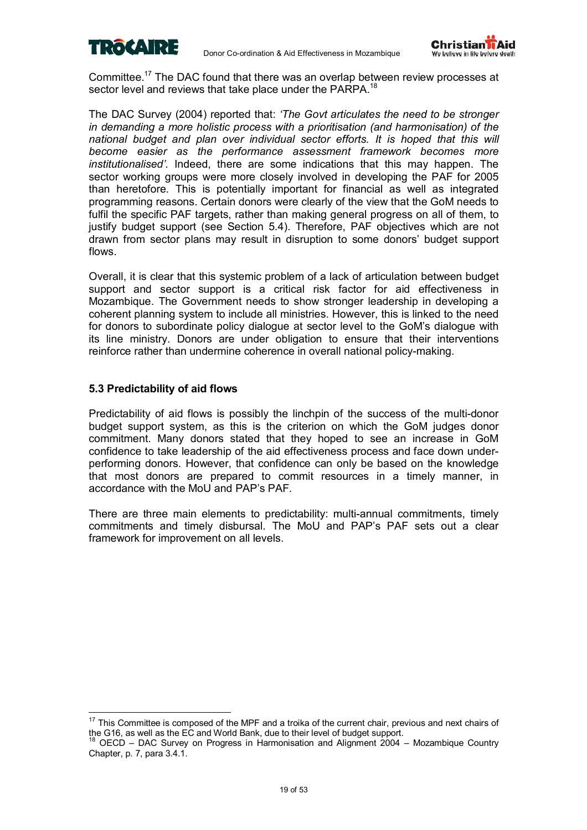



Committee.17 The DAC found that there was an overlap between review processes at sector level and reviews that take place under the PARPA.<sup>18</sup>

The DAC Survey (2004) reported that: *ëThe Govt articulates the need to be stronger in demanding a more holistic process with a prioritisation (and harmonisation) of the national budget and plan over individual sector efforts. It is hoped that this will become easier as the performance assessment framework becomes more institutionalisedí*. Indeed, there are some indications that this may happen. The sector working groups were more closely involved in developing the PAF for 2005 than heretofore. This is potentially important for financial as well as integrated programming reasons. Certain donors were clearly of the view that the GoM needs to fulfil the specific PAF targets, rather than making general progress on all of them, to justify budget support (see Section 5.4). Therefore, PAF objectives which are not drawn from sector plans may result in disruption to some donorsí budget support flows.

Overall, it is clear that this systemic problem of a lack of articulation between budget support and sector support is a critical risk factor for aid effectiveness in Mozambique. The Government needs to show stronger leadership in developing a coherent planning system to include all ministries. However, this is linked to the need for donors to subordinate policy dialogue at sector level to the GoMís dialogue with its line ministry. Donors are under obligation to ensure that their interventions reinforce rather than undermine coherence in overall national policy-making.

### **5.3 Predictability of aid flows**

 $\overline{a}$ 

Predictability of aid flows is possibly the linchpin of the success of the multi-donor budget support system, as this is the criterion on which the GoM judges donor commitment. Many donors stated that they hoped to see an increase in GoM confidence to take leadership of the aid effectiveness process and face down underperforming donors. However, that confidence can only be based on the knowledge that most donors are prepared to commit resources in a timely manner, in accordance with the MoU and PAP's PAF.

There are three main elements to predictability: multi-annual commitments, timely commitments and timely disbursal. The MoU and PAP's PAF sets out a clear framework for improvement on all levels.

 $17$  This Committee is composed of the MPF and a troika of the current chair, previous and next chairs of the G16, as well as the EC and World Bank, due to their level of budget support.

<sup>0</sup>ECD - DAC Survey on Progress in Harmonisation and Alignment 2004 - Mozambique Country Chapter, p. 7, para 3.4.1.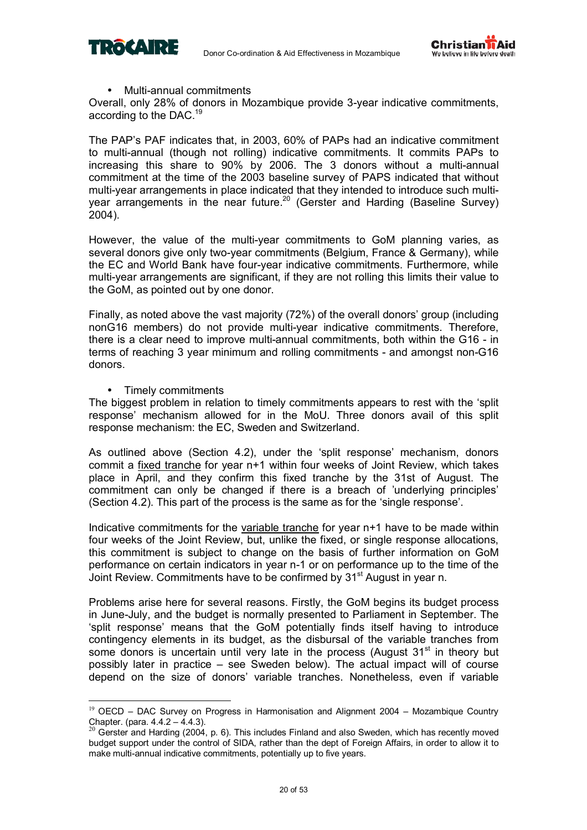



### • Multi-annual commitments

Overall, only 28% of donors in Mozambique provide 3-year indicative commitments, according to the DAC.19

The PAP's PAF indicates that, in 2003, 60% of PAPs had an indicative commitment to multi-annual (though not rolling) indicative commitments. It commits PAPs to increasing this share to 90% by 2006. The 3 donors without a multi-annual commitment at the time of the 2003 baseline survey of PAPS indicated that without multi-year arrangements in place indicated that they intended to introduce such multiyear arrangements in the near future.<sup>20</sup> (Gerster and Harding (Baseline Survey) 2004).

However, the value of the multi-year commitments to GoM planning varies, as several donors give only two-year commitments (Belgium, France & Germany), while the EC and World Bank have four-year indicative commitments. Furthermore, while multi-year arrangements are significant, if they are not rolling this limits their value to the GoM, as pointed out by one donor.

Finally, as noted above the vast majority  $(72%)$  of the overall donors' group (including nonG16 members) do not provide multi-year indicative commitments. Therefore, there is a clear need to improve multi-annual commitments, both within the G16 - in terms of reaching 3 year minimum and rolling commitments - and amongst non-G16 donors.

• Timely commitments

 $\overline{a}$ 

The biggest problem in relation to timely commitments appears to rest with the 'split' responseí mechanism allowed for in the MoU. Three donors avail of this split response mechanism: the EC, Sweden and Switzerland.

As outlined above (Section 4.2), under the 'split response' mechanism, donors commit a fixed tranche for year n+1 within four weeks of Joint Review, which takes place in April, and they confirm this fixed tranche by the 31st of August. The commitment can only be changed if there is a breach of 'underlying principles' (Section 4.2). This part of the process is the same as for the 'single response'.

Indicative commitments for the variable tranche for year n+1 have to be made within four weeks of the Joint Review, but, unlike the fixed, or single response allocations, this commitment is subject to change on the basis of further information on GoM performance on certain indicators in year n-1 or on performance up to the time of the Joint Review. Commitments have to be confirmed by 31<sup>st</sup> August in year n.

Problems arise here for several reasons. Firstly, the GoM begins its budget process in June-July, and the budget is normally presented to Parliament in September. The ësplit responseí means that the GoM potentially finds itself having to introduce contingency elements in its budget, as the disbursal of the variable tranches from some donors is uncertain until very late in the process (August  $31<sup>st</sup>$  in theory but possibly later in practice  $-$  see Sweden below). The actual impact will of course depend on the size of donors' variable tranches. Nonetheless, even if variable

 $19$  OECD – DAC Survey on Progress in Harmonisation and Alignment 2004 – Mozambique Country Chapter. (para.  $4.4.2 - 4.4.3$ ).

<sup>&</sup>lt;sup>20</sup> Gerster and Harding (2004, p. 6). This includes Finland and also Sweden, which has recently moved budget support under the control of SIDA, rather than the dept of Foreign Affairs, in order to allow it to make multi-annual indicative commitments, potentially up to five years.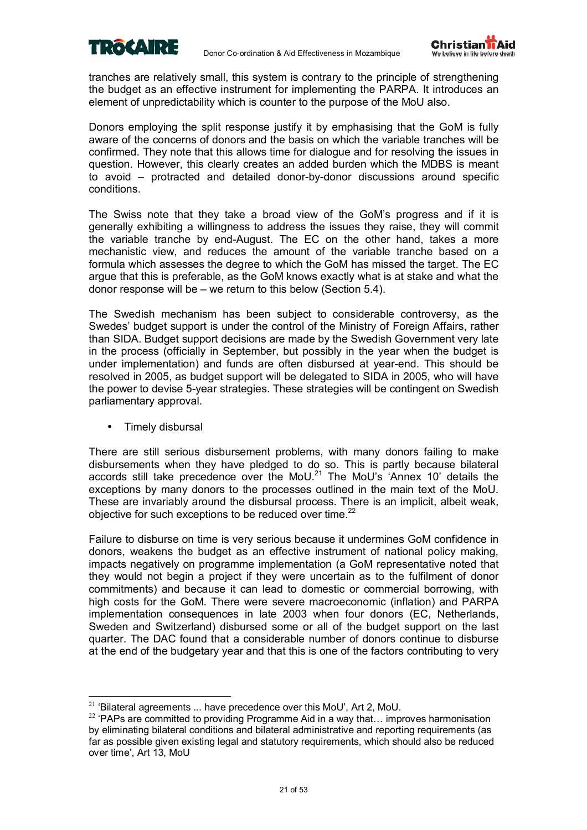



tranches are relatively small, this system is contrary to the principle of strengthening the budget as an effective instrument for implementing the PARPA. It introduces an element of unpredictability which is counter to the purpose of the MoU also.

Donors employing the split response justify it by emphasising that the GoM is fully aware of the concerns of donors and the basis on which the variable tranches will be confirmed. They note that this allows time for dialogue and for resolving the issues in question. However, this clearly creates an added burden which the MDBS is meant to avoid  $-$  protracted and detailed donor-by-donor discussions around specific conditions.

The Swiss note that they take a broad view of the GoM's progress and if it is generally exhibiting a willingness to address the issues they raise, they will commit the variable tranche by end-August. The EC on the other hand, takes a more mechanistic view, and reduces the amount of the variable tranche based on a formula which assesses the degree to which the GoM has missed the target. The EC argue that this is preferable, as the GoM knows exactly what is at stake and what the donor response will be  $-$  we return to this below (Section 5.4).

The Swedish mechanism has been subject to considerable controversy, as the Swedesí budget support is under the control of the Ministry of Foreign Affairs, rather than SIDA. Budget support decisions are made by the Swedish Government very late in the process (officially in September, but possibly in the year when the budget is under implementation) and funds are often disbursed at year-end. This should be resolved in 2005, as budget support will be delegated to SIDA in 2005, who will have the power to devise 5-year strategies. These strategies will be contingent on Swedish parliamentary approval.

• Timely disbursal

There are still serious disbursement problems, with many donors failing to make disbursements when they have pledged to do so. This is partly because bilateral accords still take precedence over the MoU.<sup>21</sup> The MoU's Annex 10' details the exceptions by many donors to the processes outlined in the main text of the MoU. These are invariably around the disbursal process. There is an implicit, albeit weak, objective for such exceptions to be reduced over time.<sup>22</sup>

Failure to disburse on time is very serious because it undermines GoM confidence in donors, weakens the budget as an effective instrument of national policy making, impacts negatively on programme implementation (a GoM representative noted that they would not begin a project if they were uncertain as to the fulfilment of donor commitments) and because it can lead to domestic or commercial borrowing, with high costs for the GoM. There were severe macroeconomic (inflation) and PARPA implementation consequences in late 2003 when four donors (EC, Netherlands, Sweden and Switzerland) disbursed some or all of the budget support on the last quarter. The DAC found that a considerable number of donors continue to disburse at the end of the budgetary year and that this is one of the factors contributing to very

<sup>&</sup>lt;sup>21</sup> 'Bilateral agreements ... have precedence over this MoU', Art 2, MoU.<br><sup>22</sup> 'PAPs are committed to providing Programme Aid in a way that... improves harmonisation by eliminating bilateral conditions and bilateral administrative and reporting requirements (as far as possible given existing legal and statutory requirements, which should also be reduced over time', Art 13, MoU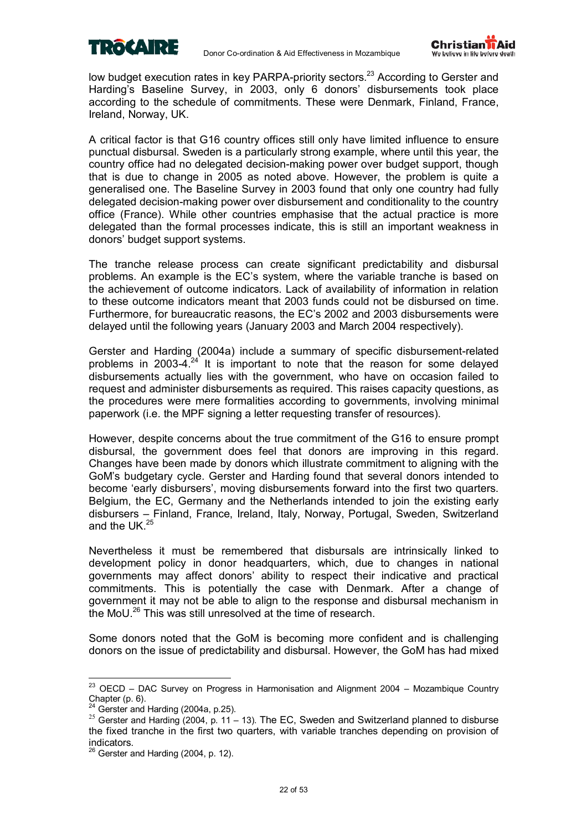



low budget execution rates in key PARPA-priority sectors.<sup>23</sup> According to Gerster and Harding's Baseline Survey, in 2003, only 6 donors' disbursements took place according to the schedule of commitments. These were Denmark, Finland, France, Ireland, Norway, UK.

A critical factor is that G16 country offices still only have limited influence to ensure punctual disbursal. Sweden is a particularly strong example, where until this year, the country office had no delegated decision-making power over budget support, though that is due to change in 2005 as noted above. However, the problem is quite a generalised one. The Baseline Survey in 2003 found that only one country had fully delegated decision-making power over disbursement and conditionality to the country office (France). While other countries emphasise that the actual practice is more delegated than the formal processes indicate, this is still an important weakness in donors' budget support systems.

The tranche release process can create significant predictability and disbursal problems. An example is the ECís system, where the variable tranche is based on the achievement of outcome indicators. Lack of availability of information in relation to these outcome indicators meant that 2003 funds could not be disbursed on time. Furthermore, for bureaucratic reasons, the EC's 2002 and 2003 disbursements were delayed until the following years (January 2003 and March 2004 respectively).

Gerster and Harding (2004a) include a summary of specific disbursement-related problems in 2003-4.<sup>24</sup> It is important to note that the reason for some delayed disbursements actually lies with the government, who have on occasion failed to request and administer disbursements as required. This raises capacity questions, as the procedures were mere formalities according to governments, involving minimal paperwork (i.e. the MPF signing a letter requesting transfer of resources).

However, despite concerns about the true commitment of the G16 to ensure prompt disbursal, the government does feel that donors are improving in this regard. Changes have been made by donors which illustrate commitment to aligning with the GoMís budgetary cycle. Gerster and Harding found that several donors intended to become 'early disbursers', moving disbursements forward into the first two quarters. Belgium, the EC, Germany and the Netherlands intended to join the existing early disbursers – Finland, France, Ireland, Italy, Norway, Portugal, Sweden, Switzerland and the UK $^{25}$ 

Nevertheless it must be remembered that disbursals are intrinsically linked to development policy in donor headquarters, which, due to changes in national governments may affect donors' ability to respect their indicative and practical commitments. This is potentially the case with Denmark. After a change of government it may not be able to align to the response and disbursal mechanism in the MoU.26 This was still unresolved at the time of research.

Some donors noted that the GoM is becoming more confident and is challenging donors on the issue of predictability and disbursal. However, the GoM has had mixed

 $\overline{a}$ 

 $^{23}$  OECD – DAC Survey on Progress in Harmonisation and Alignment 2004 – Mozambique Country Chapter (p. 6).<br> $^{24}$  Gerster and Harding (2004a, p.25).

<sup>&</sup>lt;sup>25</sup> Gerster and Harding (2004, p. 11 – 13). The EC, Sweden and Switzerland planned to disburse the fixed tranche in the first two quarters, with variable tranches depending on provision of indicators.

 $26$  Gerster and Harding (2004, p. 12).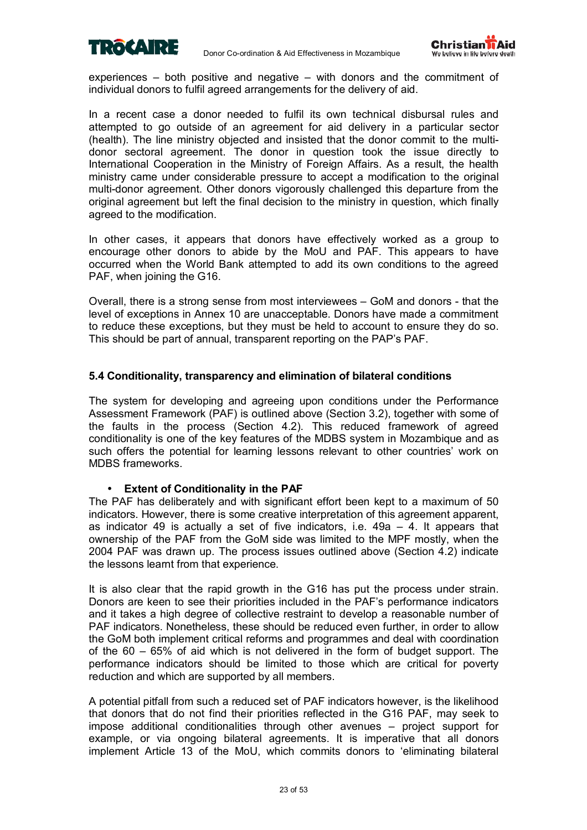



experiences  $-$  both positive and negative  $-$  with donors and the commitment of individual donors to fulfil agreed arrangements for the delivery of aid.

In a recent case a donor needed to fulfil its own technical disbursal rules and attempted to go outside of an agreement for aid delivery in a particular sector (health). The line ministry objected and insisted that the donor commit to the multidonor sectoral agreement. The donor in question took the issue directly to International Cooperation in the Ministry of Foreign Affairs. As a result, the health ministry came under considerable pressure to accept a modification to the original multi-donor agreement. Other donors vigorously challenged this departure from the original agreement but left the final decision to the ministry in question, which finally agreed to the modification.

In other cases, it appears that donors have effectively worked as a group to encourage other donors to abide by the MoU and PAF. This appears to have occurred when the World Bank attempted to add its own conditions to the agreed PAF, when joining the G16.

Overall, there is a strong sense from most interviewees  $-$  GoM and donors - that the level of exceptions in Annex 10 are unacceptable. Donors have made a commitment to reduce these exceptions, but they must be held to account to ensure they do so. This should be part of annual, transparent reporting on the PAP's PAF.

### **5.4 Conditionality, transparency and elimination of bilateral conditions**

The system for developing and agreeing upon conditions under the Performance Assessment Framework (PAF) is outlined above (Section 3.2), together with some of the faults in the process (Section 4.2). This reduced framework of agreed conditionality is one of the key features of the MDBS system in Mozambique and as such offers the potential for learning lessons relevant to other countries' work on MDBS frameworks.

### • **Extent of Conditionality in the PAF**

The PAF has deliberately and with significant effort been kept to a maximum of 50 indicators. However, there is some creative interpretation of this agreement apparent, as indicator 49 is actually a set of five indicators, i.e.  $49a - 4$ . It appears that ownership of the PAF from the GoM side was limited to the MPF mostly, when the 2004 PAF was drawn up. The process issues outlined above (Section 4.2) indicate the lessons learnt from that experience.

It is also clear that the rapid growth in the G16 has put the process under strain. Donors are keen to see their priorities included in the PAFís performance indicators and it takes a high degree of collective restraint to develop a reasonable number of PAF indicators. Nonetheless, these should be reduced even further, in order to allow the GoM both implement critical reforms and programmes and deal with coordination of the  $60 - 65%$  of aid which is not delivered in the form of budget support. The performance indicators should be limited to those which are critical for poverty reduction and which are supported by all members.

A potential pitfall from such a reduced set of PAF indicators however, is the likelihood that donors that do not find their priorities reflected in the G16 PAF, may seek to impose additional conditionalities through other avenues  $-$  project support for example, or via ongoing bilateral agreements. It is imperative that all donors implement Article 13 of the MoU, which commits donors to ëeliminating bilateral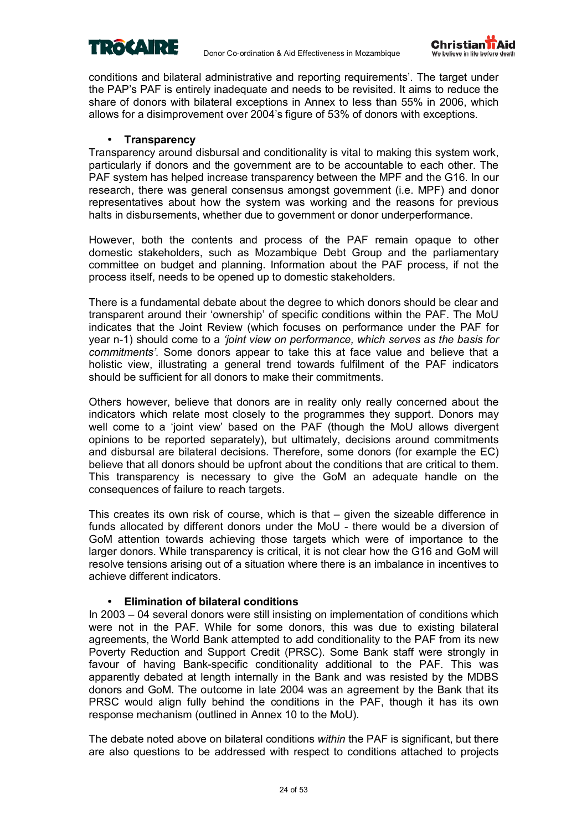



conditions and bilateral administrative and reporting requirementsí. The target under the PAPís PAF is entirely inadequate and needs to be revisited. It aims to reduce the share of donors with bilateral exceptions in Annex to less than 55% in 2006, which allows for a disimprovement over 2004ís figure of 53% of donors with exceptions.

### • **Transparency**

Transparency around disbursal and conditionality is vital to making this system work, particularly if donors and the government are to be accountable to each other. The PAF system has helped increase transparency between the MPF and the G16. In our research, there was general consensus amongst government (i.e. MPF) and donor representatives about how the system was working and the reasons for previous halts in disbursements, whether due to government or donor underperformance.

However, both the contents and process of the PAF remain opaque to other domestic stakeholders, such as Mozambique Debt Group and the parliamentary committee on budget and planning. Information about the PAF process, if not the process itself, needs to be opened up to domestic stakeholders.

There is a fundamental debate about the degree to which donors should be clear and transparent around their 'ownership' of specific conditions within the PAF. The MoU indicates that the Joint Review (which focuses on performance under the PAF for year n-1) should come to a *ëjoint view on performance, which serves as the basis for commitmentsí*. Some donors appear to take this at face value and believe that a holistic view, illustrating a general trend towards fulfilment of the PAF indicators should be sufficient for all donors to make their commitments.

Others however, believe that donors are in reality only really concerned about the indicators which relate most closely to the programmes they support. Donors may well come to a 'joint view' based on the PAF (though the MoU allows divergent opinions to be reported separately), but ultimately, decisions around commitments and disbursal are bilateral decisions. Therefore, some donors (for example the EC) believe that all donors should be upfront about the conditions that are critical to them. This transparency is necessary to give the GoM an adequate handle on the consequences of failure to reach targets.

This creates its own risk of course, which is that  $-$  given the sizeable difference in funds allocated by different donors under the MoU - there would be a diversion of GoM attention towards achieving those targets which were of importance to the larger donors. While transparency is critical, it is not clear how the G16 and GoM will resolve tensions arising out of a situation where there is an imbalance in incentives to achieve different indicators.

### • **Elimination of bilateral conditions**

In 2003 – 04 several donors were still insisting on implementation of conditions which were not in the PAF. While for some donors, this was due to existing bilateral agreements, the World Bank attempted to add conditionality to the PAF from its new Poverty Reduction and Support Credit (PRSC). Some Bank staff were strongly in favour of having Bank-specific conditionality additional to the PAF. This was apparently debated at length internally in the Bank and was resisted by the MDBS donors and GoM. The outcome in late 2004 was an agreement by the Bank that its PRSC would align fully behind the conditions in the PAF, though it has its own response mechanism (outlined in Annex 10 to the MoU).

The debate noted above on bilateral conditions *within* the PAF is significant, but there are also questions to be addressed with respect to conditions attached to projects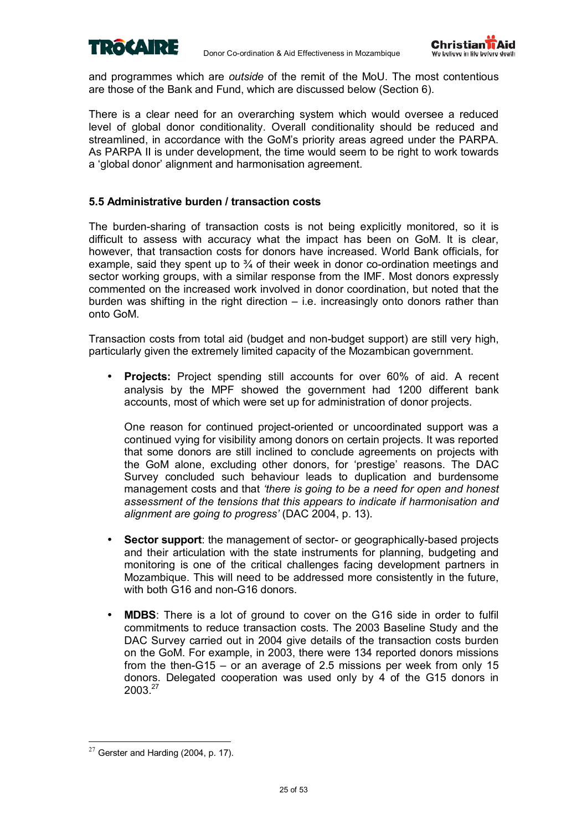



and programmes which are *outside* of the remit of the MoU. The most contentious are those of the Bank and Fund, which are discussed below (Section 6).

There is a clear need for an overarching system which would oversee a reduced level of global donor conditionality. Overall conditionality should be reduced and streamlined, in accordance with the GoM's priority areas agreed under the PARPA. As PARPA II is under development, the time would seem to be right to work towards a 'global donor' alignment and harmonisation agreement.

### **5.5 Administrative burden / transaction costs**

The burden-sharing of transaction costs is not being explicitly monitored, so it is difficult to assess with accuracy what the impact has been on GoM. It is clear, however, that transaction costs for donors have increased. World Bank officials, for example, said they spent up to  $\frac{3}{4}$  of their week in donor co-ordination meetings and sector working groups, with a similar response from the IMF. Most donors expressly commented on the increased work involved in donor coordination, but noted that the burden was shifting in the right direction  $-$  i.e. increasingly onto donors rather than onto GoM.

Transaction costs from total aid (budget and non-budget support) are still very high, particularly given the extremely limited capacity of the Mozambican government.

• **Projects:** Project spending still accounts for over 60% of aid. A recent analysis by the MPF showed the government had 1200 different bank accounts, most of which were set up for administration of donor projects.

One reason for continued project-oriented or uncoordinated support was a continued vying for visibility among donors on certain projects. It was reported that some donors are still inclined to conclude agreements on projects with the GoM alone, excluding other donors, for 'prestige' reasons. The DAC Survey concluded such behaviour leads to duplication and burdensome management costs and that *ëthere is going to be a need for open and honest assessment of the tensions that this appears to indicate if harmonisation and alignment are going to progressí* (DAC 2004, p. 13).

- **Sector support**: the management of sector- or geographically-based projects and their articulation with the state instruments for planning, budgeting and monitoring is one of the critical challenges facing development partners in Mozambique. This will need to be addressed more consistently in the future, with both G16 and non-G16 donors
- **MDBS**: There is a lot of ground to cover on the G16 side in order to fulfil commitments to reduce transaction costs. The 2003 Baseline Study and the DAC Survey carried out in 2004 give details of the transaction costs burden on the GoM. For example, in 2003, there were 134 reported donors missions from the then-G15 – or an average of 2.5 missions per week from only 15 donors. Delegated cooperation was used only by 4 of the G15 donors in 2003.27

 $\overline{a}$ 

 $27$  Gerster and Harding (2004, p. 17).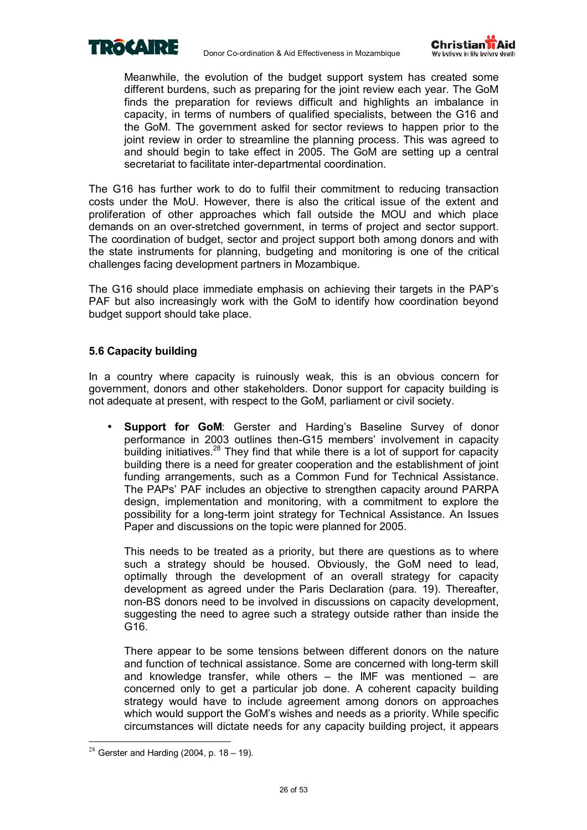



Meanwhile, the evolution of the budget support system has created some different burdens, such as preparing for the joint review each year. The GoM finds the preparation for reviews difficult and highlights an imbalance in capacity, in terms of numbers of qualified specialists, between the G16 and the GoM. The government asked for sector reviews to happen prior to the joint review in order to streamline the planning process. This was agreed to and should begin to take effect in 2005. The GoM are setting up a central secretariat to facilitate inter-departmental coordination.

The G16 has further work to do to fulfil their commitment to reducing transaction costs under the MoU. However, there is also the critical issue of the extent and proliferation of other approaches which fall outside the MOU and which place demands on an over-stretched government, in terms of project and sector support. The coordination of budget, sector and project support both among donors and with the state instruments for planning, budgeting and monitoring is one of the critical challenges facing development partners in Mozambique.

The G16 should place immediate emphasis on achieving their targets in the PAPís PAF but also increasingly work with the GoM to identify how coordination beyond budget support should take place.

### **5.6 Capacity building**

In a country where capacity is ruinously weak, this is an obvious concern for government, donors and other stakeholders. Donor support for capacity building is not adequate at present, with respect to the GoM, parliament or civil society.

**Support for GoM:** Gerster and Harding's Baseline Survey of donor performance in 2003 outlines then-G15 members' involvement in capacity building initiatives.<sup>28</sup> They find that while there is a lot of support for capacity building there is a need for greater cooperation and the establishment of joint funding arrangements, such as a Common Fund for Technical Assistance. The PAPsí PAF includes an objective to strengthen capacity around PARPA design, implementation and monitoring, with a commitment to explore the possibility for a long-term joint strategy for Technical Assistance. An Issues Paper and discussions on the topic were planned for 2005.

This needs to be treated as a priority, but there are questions as to where such a strategy should be housed. Obviously, the GoM need to lead, optimally through the development of an overall strategy for capacity development as agreed under the Paris Declaration (para. 19). Thereafter, non-BS donors need to be involved in discussions on capacity development, suggesting the need to agree such a strategy outside rather than inside the G16.

There appear to be some tensions between different donors on the nature and function of technical assistance. Some are concerned with long-term skill and knowledge transfer, while others  $-$  the IMF was mentioned  $-$  are concerned only to get a particular job done. A coherent capacity building strategy would have to include agreement among donors on approaches which would support the GoM's wishes and needs as a priority. While specific circumstances will dictate needs for any capacity building project, it appears

 $\overline{a}$ 

 $28$  Gerster and Harding (2004, p. 18 – 19).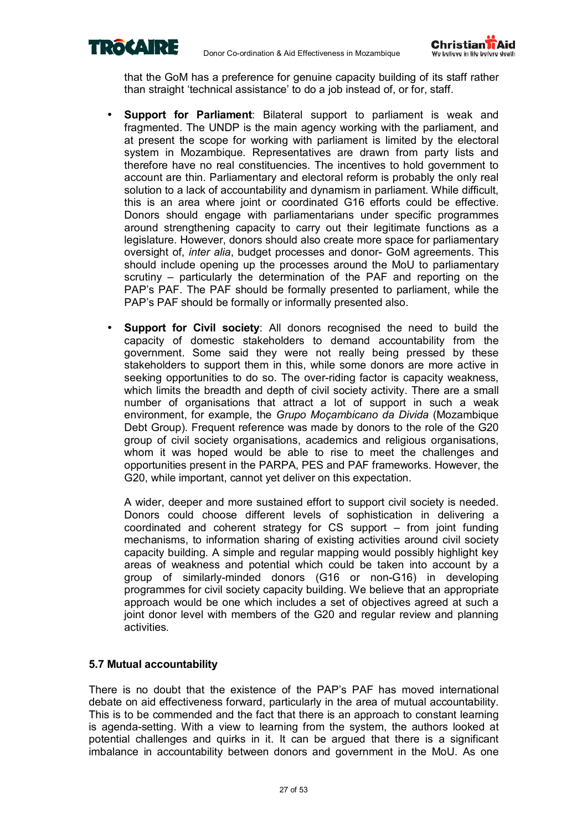



that the GoM has a preference for genuine capacity building of its staff rather than straight 'technical assistance' to do a job instead of, or for, staff.

- **Support for Parliament**: Bilateral support to parliament is weak and fragmented. The UNDP is the main agency working with the parliament, and at present the scope for working with parliament is limited by the electoral system in Mozambique. Representatives are drawn from party lists and therefore have no real constituencies. The incentives to hold government to account are thin. Parliamentary and electoral reform is probably the only real solution to a lack of accountability and dynamism in parliament. While difficult, this is an area where joint or coordinated G16 efforts could be effective. Donors should engage with parliamentarians under specific programmes around strengthening capacity to carry out their legitimate functions as a legislature. However, donors should also create more space for parliamentary oversight of, *inter alia*, budget processes and donor- GoM agreements. This should include opening up the processes around the MoU to parliamentary scrutiny  $-$  particularly the determination of the PAF and reporting on the PAPís PAF. The PAF should be formally presented to parliament, while the PAP's PAF should be formally or informally presented also.
- **Support for Civil society:** All donors recognised the need to build the capacity of domestic stakeholders to demand accountability from the government. Some said they were not really being pressed by these stakeholders to support them in this, while some donors are more active in seeking opportunities to do so. The over-riding factor is capacity weakness, which limits the breadth and depth of civil society activity. There are a small number of organisations that attract a lot of support in such a weak environment, for example, the *Grupo Moçambicano da Divida* (Mozambique Debt Group). Frequent reference was made by donors to the role of the G20 group of civil society organisations, academics and religious organisations, whom it was hoped would be able to rise to meet the challenges and opportunities present in the PARPA, PES and PAF frameworks. However, the G20, while important, cannot yet deliver on this expectation.

A wider, deeper and more sustained effort to support civil society is needed. Donors could choose different levels of sophistication in delivering a coordinated and coherent strategy for  $CS$  support  $-$  from joint funding mechanisms, to information sharing of existing activities around civil society capacity building. A simple and regular mapping would possibly highlight key areas of weakness and potential which could be taken into account by a group of similarly-minded donors (G16 or non-G16) in developing programmes for civil society capacity building. We believe that an appropriate approach would be one which includes a set of objectives agreed at such a joint donor level with members of the G20 and regular review and planning activities.

### **5.7 Mutual accountability**

There is no doubt that the existence of the PAP's PAF has moved international debate on aid effectiveness forward, particularly in the area of mutual accountability. This is to be commended and the fact that there is an approach to constant learning is agenda-setting. With a view to learning from the system, the authors looked at potential challenges and quirks in it. It can be argued that there is a significant imbalance in accountability between donors and government in the MoU. As one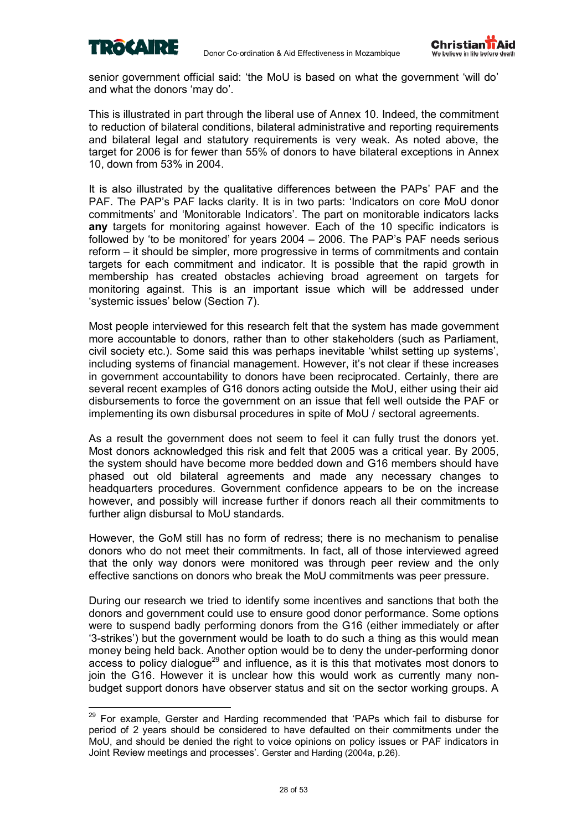

 $\overline{a}$ 



senior government official said: 'the MoU is based on what the government 'will do' and what the donors 'may do'.

This is illustrated in part through the liberal use of Annex 10. Indeed, the commitment to reduction of bilateral conditions, bilateral administrative and reporting requirements and bilateral legal and statutory requirements is very weak. As noted above, the target for 2006 is for fewer than 55% of donors to have bilateral exceptions in Annex 10, down from 53% in 2004.

It is also illustrated by the qualitative differences between the PAPs' PAF and the PAF. The PAP's PAF lacks clarity. It is in two parts: 'Indicators on core MoU donor commitments' and 'Monitorable Indicators'. The part on monitorable indicators lacks **any** targets for monitoring against however. Each of the 10 specific indicators is followed by 'to be monitored' for years  $2004 - 2006$ . The PAP's PAF needs serious reform – it should be simpler, more progressive in terms of commitments and contain targets for each commitment and indicator. It is possible that the rapid growth in membership has created obstacles achieving broad agreement on targets for monitoring against. This is an important issue which will be addressed under 'systemic issues' below (Section 7).

Most people interviewed for this research felt that the system has made government more accountable to donors, rather than to other stakeholders (such as Parliament, civil society etc.). Some said this was perhaps inevitable ëwhilst setting up systemsí, including systems of financial management. However, it's not clear if these increases in government accountability to donors have been reciprocated. Certainly, there are several recent examples of G16 donors acting outside the MoU, either using their aid disbursements to force the government on an issue that fell well outside the PAF or implementing its own disbursal procedures in spite of MoU / sectoral agreements.

As a result the government does not seem to feel it can fully trust the donors yet. Most donors acknowledged this risk and felt that 2005 was a critical year. By 2005, the system should have become more bedded down and G16 members should have phased out old bilateral agreements and made any necessary changes to headquarters procedures. Government confidence appears to be on the increase however, and possibly will increase further if donors reach all their commitments to further align disbursal to MoU standards.

However, the GoM still has no form of redress; there is no mechanism to penalise donors who do not meet their commitments. In fact, all of those interviewed agreed that the only way donors were monitored was through peer review and the only effective sanctions on donors who break the MoU commitments was peer pressure.

During our research we tried to identify some incentives and sanctions that both the donors and government could use to ensure good donor performance. Some options were to suspend badly performing donors from the G16 (either immediately or after ë3-strikesí) but the government would be loath to do such a thing as this would mean money being held back. Another option would be to deny the under-performing donor access to policy dialogue<sup>29</sup> and influence, as it is this that motivates most donors to join the G16. However it is unclear how this would work as currently many nonbudget support donors have observer status and sit on the sector working groups. A

<sup>&</sup>lt;sup>29</sup> For example, Gerster and Harding recommended that 'PAPs which fail to disburse for period of 2 years should be considered to have defaulted on their commitments under the MoU, and should be denied the right to voice opinions on policy issues or PAF indicators in Joint Review meetings and processes'. Gerster and Harding (2004a, p.26).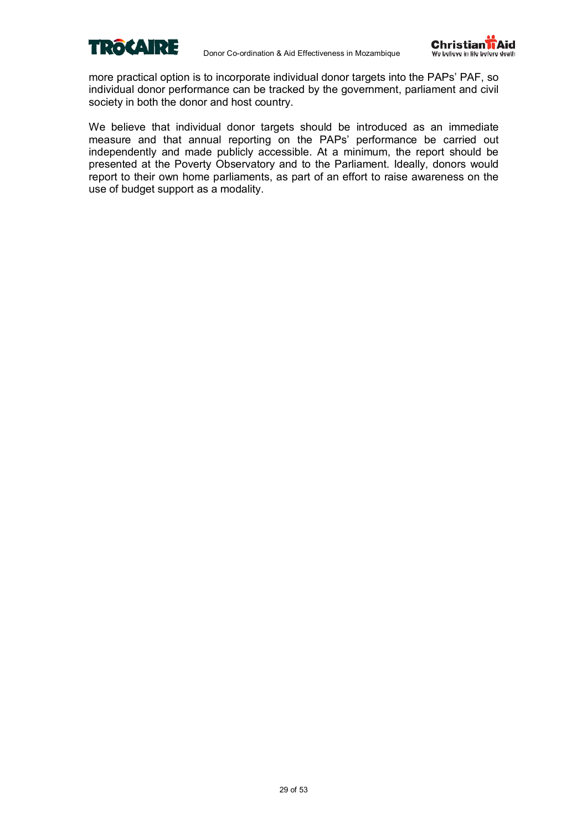



more practical option is to incorporate individual donor targets into the PAPs' PAF, so individual donor performance can be tracked by the government, parliament and civil society in both the donor and host country.

We believe that individual donor targets should be introduced as an immediate measure and that annual reporting on the PAPs' performance be carried out independently and made publicly accessible. At a minimum, the report should be presented at the Poverty Observatory and to the Parliament. Ideally, donors would report to their own home parliaments, as part of an effort to raise awareness on the use of budget support as a modality.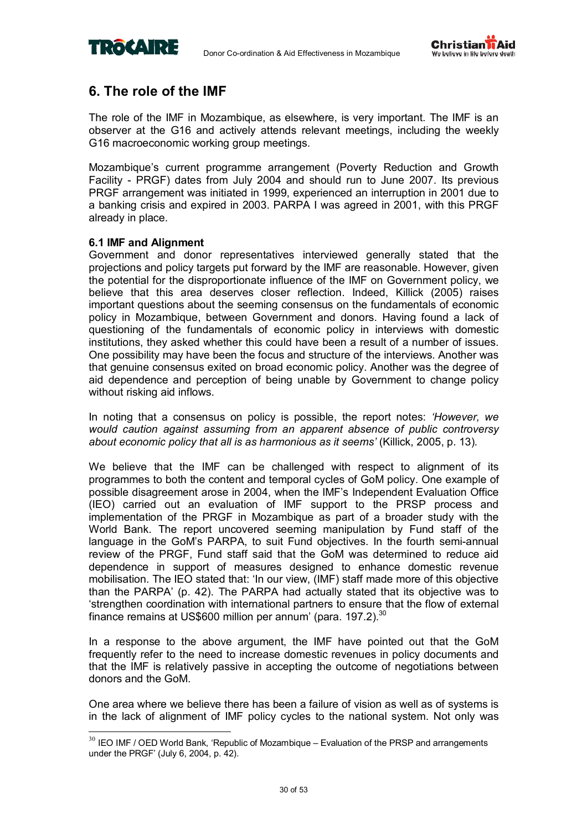



### **6. The role of the IMF**

The role of the IMF in Mozambique, as elsewhere, is very important. The IMF is an observer at the G16 and actively attends relevant meetings, including the weekly G16 macroeconomic working group meetings.

Mozambiqueís current programme arrangement (Poverty Reduction and Growth Facility - PRGF) dates from July 2004 and should run to June 2007. Its previous PRGF arrangement was initiated in 1999, experienced an interruption in 2001 due to a banking crisis and expired in 2003. PARPA I was agreed in 2001, with this PRGF already in place.

### **6.1 IMF and Alignment**

 $\overline{a}$ 

Government and donor representatives interviewed generally stated that the projections and policy targets put forward by the IMF are reasonable. However, given the potential for the disproportionate influence of the IMF on Government policy, we believe that this area deserves closer reflection. Indeed, Killick (2005) raises important questions about the seeming consensus on the fundamentals of economic policy in Mozambique, between Government and donors. Having found a lack of questioning of the fundamentals of economic policy in interviews with domestic institutions, they asked whether this could have been a result of a number of issues. One possibility may have been the focus and structure of the interviews. Another was that genuine consensus exited on broad economic policy. Another was the degree of aid dependence and perception of being unable by Government to change policy without risking aid inflows.

In noting that a consensus on policy is possible, the report notes: *ëHowever, we would caution against assuming from an apparent absence of public controversy about economic policy that all is as harmonious as it seemsí* (Killick, 2005, p. 13)*.* 

We believe that the IMF can be challenged with respect to alignment of its programmes to both the content and temporal cycles of GoM policy. One example of possible disagreement arose in 2004, when the IMFís Independent Evaluation Office (IEO) carried out an evaluation of IMF support to the PRSP process and implementation of the PRGF in Mozambique as part of a broader study with the World Bank. The report uncovered seeming manipulation by Fund staff of the language in the GoMís PARPA, to suit Fund objectives. In the fourth semi-annual review of the PRGF, Fund staff said that the GoM was determined to reduce aid dependence in support of measures designed to enhance domestic revenue mobilisation. The IEO stated that: 'In our view, (IMF) staff made more of this objective than the PARPAí (p. 42). The PARPA had actually stated that its objective was to ëstrengthen coordination with international partners to ensure that the flow of external finance remains at US\$600 million per annum' (para.  $197.2$ ).<sup>30</sup>

In a response to the above argument, the IMF have pointed out that the GoM frequently refer to the need to increase domestic revenues in policy documents and that the IMF is relatively passive in accepting the outcome of negotiations between donors and the GoM.

One area where we believe there has been a failure of vision as well as of systems is in the lack of alignment of IMF policy cycles to the national system. Not only was

 $30$  IEO IMF / OED World Bank, 'Republic of Mozambique – Evaluation of the PRSP and arrangements under the PRGF' (July 6, 2004, p. 42).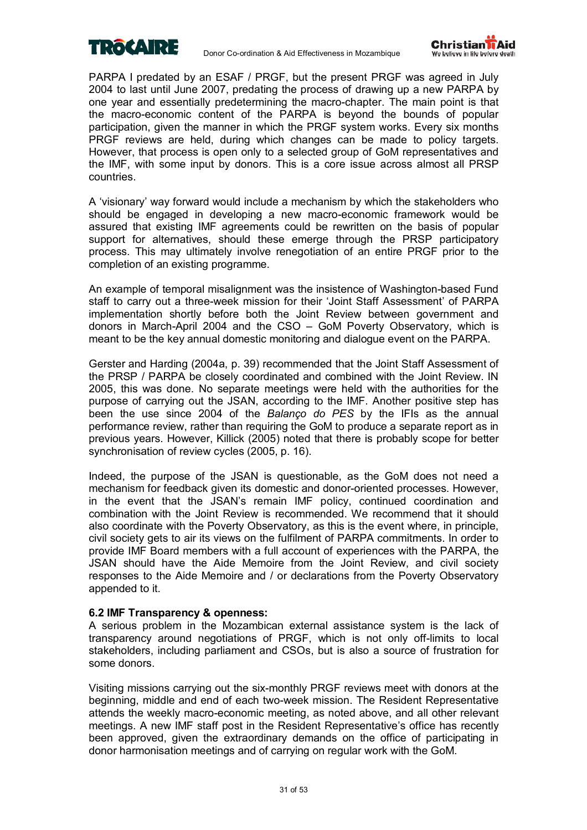



PARPA I predated by an ESAF / PRGF, but the present PRGF was agreed in July 2004 to last until June 2007, predating the process of drawing up a new PARPA by one year and essentially predetermining the macro-chapter. The main point is that the macro-economic content of the PARPA is beyond the bounds of popular participation, given the manner in which the PRGF system works. Every six months PRGF reviews are held, during which changes can be made to policy targets. However, that process is open only to a selected group of GoM representatives and the IMF, with some input by donors. This is a core issue across almost all PRSP countries.

A ëvisionaryí way forward would include a mechanism by which the stakeholders who should be engaged in developing a new macro-economic framework would be assured that existing IMF agreements could be rewritten on the basis of popular support for alternatives, should these emerge through the PRSP participatory process. This may ultimately involve renegotiation of an entire PRGF prior to the completion of an existing programme.

An example of temporal misalignment was the insistence of Washington-based Fund staff to carry out a three-week mission for their 'Joint Staff Assessment' of PARPA implementation shortly before both the Joint Review between government and donors in March-April 2004 and the  $CSO - GOM$  Poverty Observatory, which is meant to be the key annual domestic monitoring and dialogue event on the PARPA.

Gerster and Harding (2004a, p. 39) recommended that the Joint Staff Assessment of the PRSP / PARPA be closely coordinated and combined with the Joint Review. IN 2005, this was done. No separate meetings were held with the authorities for the purpose of carrying out the JSAN, according to the IMF. Another positive step has been the use since 2004 of the *Balanço do PES* by the IFIs as the annual performance review, rather than requiring the GoM to produce a separate report as in previous years. However, Killick (2005) noted that there is probably scope for better synchronisation of review cycles (2005, p. 16).

Indeed, the purpose of the JSAN is questionable, as the GoM does not need a mechanism for feedback given its domestic and donor-oriented processes. However, in the event that the JSAN's remain IMF policy, continued coordination and combination with the Joint Review is recommended. We recommend that it should also coordinate with the Poverty Observatory, as this is the event where, in principle, civil society gets to air its views on the fulfilment of PARPA commitments. In order to provide IMF Board members with a full account of experiences with the PARPA, the JSAN should have the Aide Memoire from the Joint Review, and civil society responses to the Aide Memoire and / or declarations from the Poverty Observatory appended to it.

### **6.2 IMF Transparency & openness:**

A serious problem in the Mozambican external assistance system is the lack of transparency around negotiations of PRGF, which is not only off-limits to local stakeholders, including parliament and CSOs, but is also a source of frustration for some donors.

Visiting missions carrying out the six-monthly PRGF reviews meet with donors at the beginning, middle and end of each two-week mission. The Resident Representative attends the weekly macro-economic meeting, as noted above, and all other relevant meetings. A new IMF staff post in the Resident Representative's office has recently been approved, given the extraordinary demands on the office of participating in donor harmonisation meetings and of carrying on regular work with the GoM.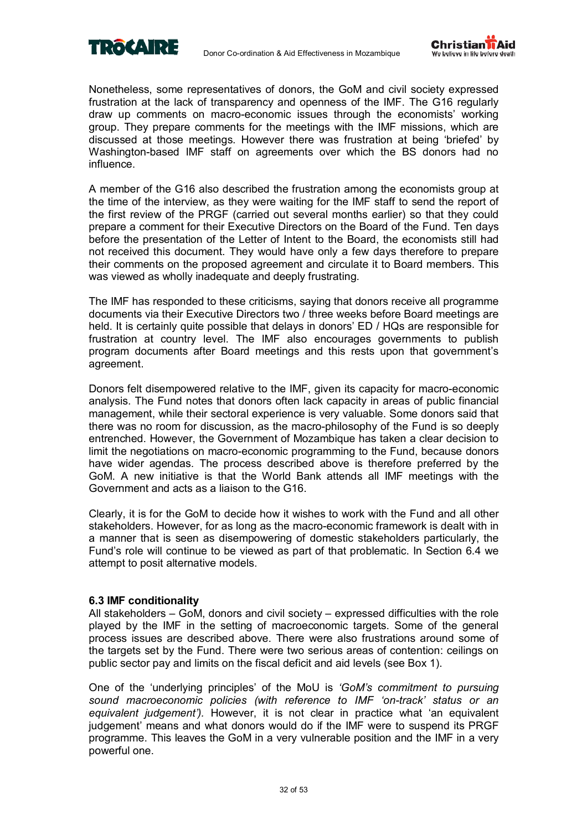



Nonetheless, some representatives of donors, the GoM and civil society expressed frustration at the lack of transparency and openness of the IMF. The G16 regularly draw up comments on macro-economic issues through the economistsí working group. They prepare comments for the meetings with the IMF missions, which are discussed at those meetings. However there was frustration at being 'briefed' by Washington-based IMF staff on agreements over which the BS donors had no influence.

A member of the G16 also described the frustration among the economists group at the time of the interview, as they were waiting for the IMF staff to send the report of the first review of the PRGF (carried out several months earlier) so that they could prepare a comment for their Executive Directors on the Board of the Fund. Ten days before the presentation of the Letter of Intent to the Board, the economists still had not received this document. They would have only a few days therefore to prepare their comments on the proposed agreement and circulate it to Board members. This was viewed as wholly inadequate and deeply frustrating.

The IMF has responded to these criticisms, saying that donors receive all programme documents via their Executive Directors two / three weeks before Board meetings are held. It is certainly quite possible that delays in donors' ED / HQs are responsible for frustration at country level. The IMF also encourages governments to publish program documents after Board meetings and this rests upon that governmentís agreement.

Donors felt disempowered relative to the IMF, given its capacity for macro-economic analysis. The Fund notes that donors often lack capacity in areas of public financial management, while their sectoral experience is very valuable. Some donors said that there was no room for discussion, as the macro-philosophy of the Fund is so deeply entrenched. However, the Government of Mozambique has taken a clear decision to limit the negotiations on macro-economic programming to the Fund, because donors have wider agendas. The process described above is therefore preferred by the GoM. A new initiative is that the World Bank attends all IMF meetings with the Government and acts as a liaison to the G16.

Clearly, it is for the GoM to decide how it wishes to work with the Fund and all other stakeholders. However, for as long as the macro-economic framework is dealt with in a manner that is seen as disempowering of domestic stakeholders particularly, the Fundís role will continue to be viewed as part of that problematic. In Section 6.4 we attempt to posit alternative models.

### **6.3 IMF conditionality**

All stakeholders  $-$  GoM, donors and civil society  $-$  expressed difficulties with the role played by the IMF in the setting of macroeconomic targets. Some of the general process issues are described above. There were also frustrations around some of the targets set by the Fund. There were two serious areas of contention: ceilings on public sector pay and limits on the fiscal deficit and aid levels (see Box 1).

One of the ëunderlying principlesí of the MoU is *ëGoMís commitment to pursuing sound macroeconomic policies (with reference to IMF ëon-trackí status or an*  equivalent judgement'). However, it is not clear in practice what 'an equivalent judgementí means and what donors would do if the IMF were to suspend its PRGF programme. This leaves the GoM in a very vulnerable position and the IMF in a very powerful one.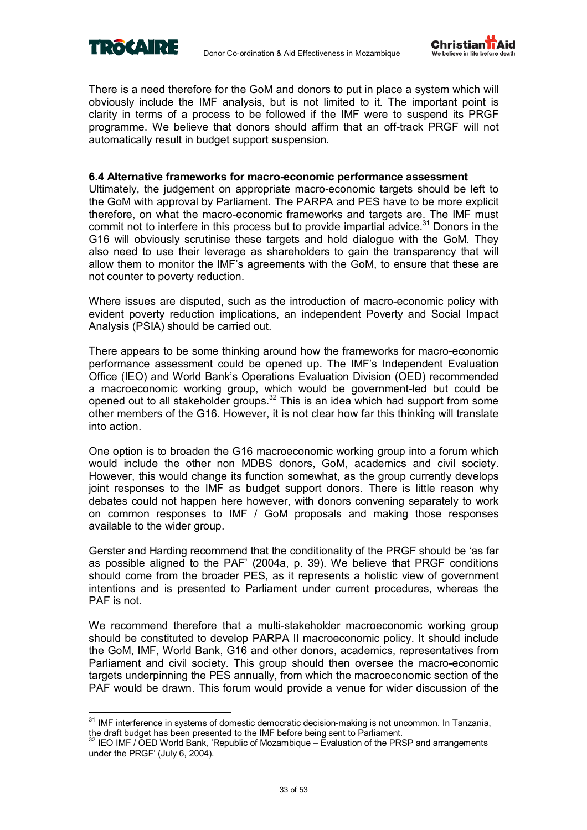



There is a need therefore for the GoM and donors to put in place a system which will obviously include the IMF analysis, but is not limited to it. The important point is clarity in terms of a process to be followed if the IMF were to suspend its PRGF programme. We believe that donors should affirm that an off-track PRGF will not automatically result in budget support suspension.

### **6.4 Alternative frameworks for macro-economic performance assessment**

Ultimately, the judgement on appropriate macro-economic targets should be left to the GoM with approval by Parliament. The PARPA and PES have to be more explicit therefore, on what the macro-economic frameworks and targets are. The IMF must commit not to interfere in this process but to provide impartial advice. $31$  Donors in the G16 will obviously scrutinise these targets and hold dialogue with the GoM. They also need to use their leverage as shareholders to gain the transparency that will allow them to monitor the IMF's agreements with the GoM, to ensure that these are not counter to poverty reduction.

Where issues are disputed, such as the introduction of macro-economic policy with evident poverty reduction implications, an independent Poverty and Social Impact Analysis (PSIA) should be carried out.

There appears to be some thinking around how the frameworks for macro-economic performance assessment could be opened up. The IMF's Independent Evaluation Office (IEO) and World Bankís Operations Evaluation Division (OED) recommended a macroeconomic working group, which would be government-led but could be opened out to all stakeholder groups.32 This is an idea which had support from some other members of the G16. However, it is not clear how far this thinking will translate into action.

One option is to broaden the G16 macroeconomic working group into a forum which would include the other non MDBS donors, GoM, academics and civil society. However, this would change its function somewhat, as the group currently develops joint responses to the IMF as budget support donors. There is little reason why debates could not happen here however, with donors convening separately to work on common responses to IMF / GoM proposals and making those responses available to the wider group.

Gerster and Harding recommend that the conditionality of the PRGF should be ëas far as possible aligned to the PAF' (2004a, p. 39). We believe that PRGF conditions should come from the broader PES, as it represents a holistic view of government intentions and is presented to Parliament under current procedures, whereas the PAF is not.

We recommend therefore that a multi-stakeholder macroeconomic working group should be constituted to develop PARPA II macroeconomic policy. It should include the GoM, IMF, World Bank, G16 and other donors, academics, representatives from Parliament and civil society. This group should then oversee the macro-economic targets underpinning the PES annually, from which the macroeconomic section of the PAF would be drawn. This forum would provide a venue for wider discussion of the

 $\overline{a}$ <sup>31</sup> IMF interference in systems of domestic democratic decision-making is not uncommon. In Tanzania, the draft budget has been presented to the IMF before being sent to Parliament.

 $32$  IEO IMF / OED World Bank, 'Republic of Mozambique – Evaluation of the PRSP and arrangements under the PRGF' (July 6, 2004).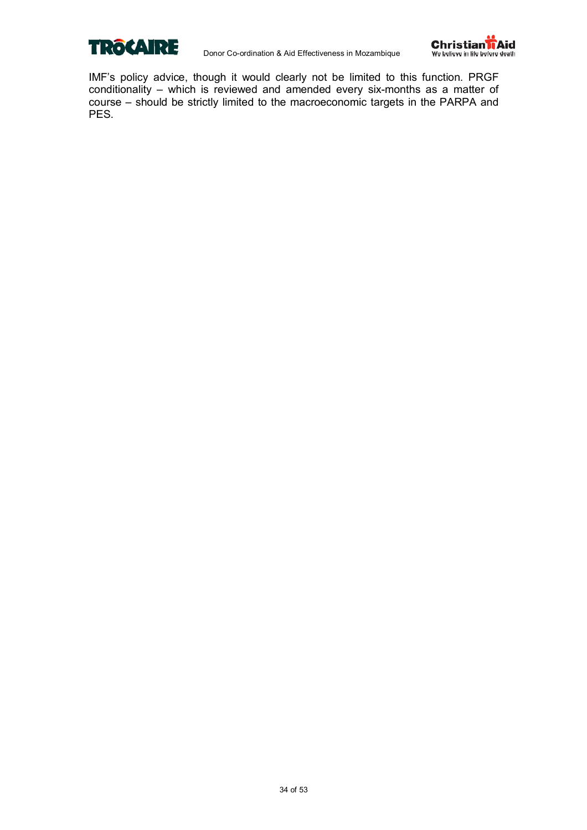



IMF's policy advice, though it would clearly not be limited to this function. PRGF conditionality – which is reviewed and amended every six-months as a matter of course – should be strictly limited to the macroeconomic targets in the PARPA and PES.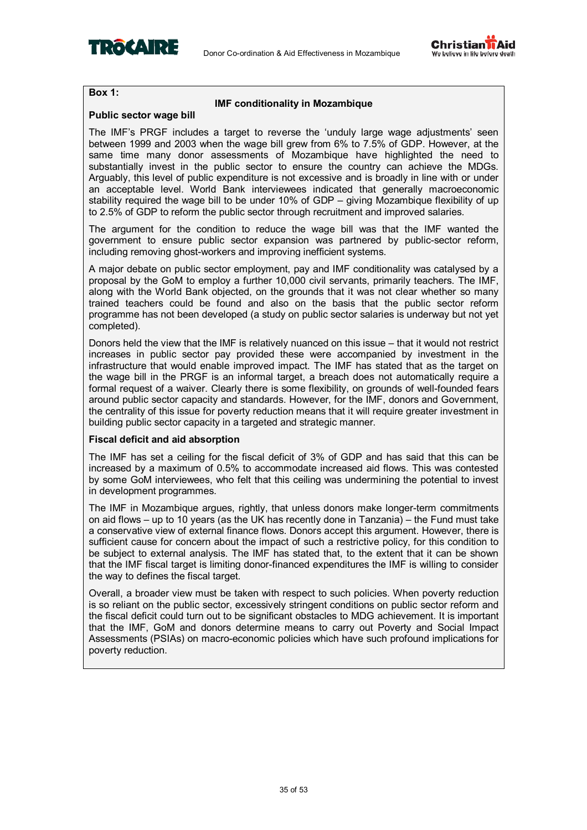



### **Box 1:**

### **IMF conditionality in Mozambique**

### **Public sector wage bill**

The IMF's PRGF includes a target to reverse the 'unduly large wage adjustments' seen between 1999 and 2003 when the wage bill grew from 6% to 7.5% of GDP. However, at the same time many donor assessments of Mozambique have highlighted the need to substantially invest in the public sector to ensure the country can achieve the MDGs. Arguably, this level of public expenditure is not excessive and is broadly in line with or under an acceptable level. World Bank interviewees indicated that generally macroeconomic stability required the wage bill to be under 10% of GDP  $-$  giving Mozambique flexibility of up to 2.5% of GDP to reform the public sector through recruitment and improved salaries.

The argument for the condition to reduce the wage bill was that the IMF wanted the government to ensure public sector expansion was partnered by public-sector reform, including removing ghost-workers and improving inefficient systems.

A major debate on public sector employment, pay and IMF conditionality was catalysed by a proposal by the GoM to employ a further 10,000 civil servants, primarily teachers. The IMF, along with the World Bank objected, on the grounds that it was not clear whether so many trained teachers could be found and also on the basis that the public sector reform programme has not been developed (a study on public sector salaries is underway but not yet completed).

Donors held the view that the IMF is relatively nuanced on this issue – that it would not restrict increases in public sector pay provided these were accompanied by investment in the infrastructure that would enable improved impact. The IMF has stated that as the target on the wage bill in the PRGF is an informal target, a breach does not automatically require a formal request of a waiver. Clearly there is some flexibility, on grounds of well-founded fears around public sector capacity and standards. However, for the IMF, donors and Government, the centrality of this issue for poverty reduction means that it will require greater investment in building public sector capacity in a targeted and strategic manner.

### **Fiscal deficit and aid absorption**

The IMF has set a ceiling for the fiscal deficit of 3% of GDP and has said that this can be increased by a maximum of 0.5% to accommodate increased aid flows. This was contested by some GoM interviewees, who felt that this ceiling was undermining the potential to invest in development programmes.

The IMF in Mozambique argues, rightly, that unless donors make longer-term commitments on aid flows  $-$  up to 10 years (as the UK has recently done in Tanzania)  $-$  the Fund must take a conservative view of external finance flows. Donors accept this argument. However, there is sufficient cause for concern about the impact of such a restrictive policy, for this condition to be subject to external analysis. The IMF has stated that, to the extent that it can be shown that the IMF fiscal target is limiting donor-financed expenditures the IMF is willing to consider the way to defines the fiscal target.

Overall, a broader view must be taken with respect to such policies. When poverty reduction is so reliant on the public sector, excessively stringent conditions on public sector reform and the fiscal deficit could turn out to be significant obstacles to MDG achievement. It is important that the IMF, GoM and donors determine means to carry out Poverty and Social Impact Assessments (PSIAs) on macro-economic policies which have such profound implications for poverty reduction.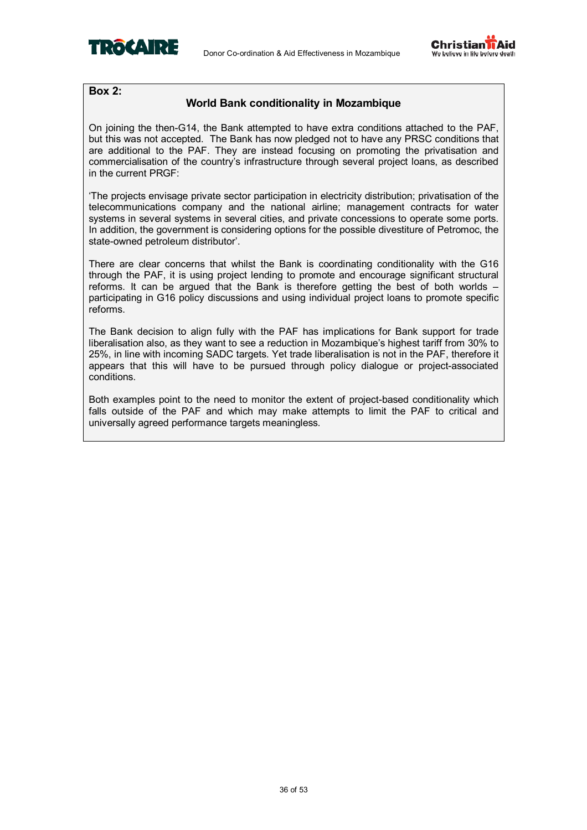



### **Box 2:**

### **World Bank conditionality in Mozambique**

On joining the then-G14, the Bank attempted to have extra conditions attached to the PAF, but this was not accepted. The Bank has now pledged not to have any PRSC conditions that are additional to the PAF. They are instead focusing on promoting the privatisation and commercialisation of the countryís infrastructure through several project loans, as described in the current PRGF:

ëThe projects envisage private sector participation in electricity distribution; privatisation of the telecommunications company and the national airline; management contracts for water systems in several systems in several cities, and private concessions to operate some ports. In addition, the government is considering options for the possible divestiture of Petromoc, the state-owned petroleum distributor'.

There are clear concerns that whilst the Bank is coordinating conditionality with the G16 through the PAF, it is using project lending to promote and encourage significant structural reforms. It can be argued that the Bank is therefore getting the best of both worlds  $$ participating in G16 policy discussions and using individual project loans to promote specific reforms.

The Bank decision to align fully with the PAF has implications for Bank support for trade liberalisation also, as they want to see a reduction in Mozambique's highest tariff from 30% to 25%, in line with incoming SADC targets. Yet trade liberalisation is not in the PAF, therefore it appears that this will have to be pursued through policy dialogue or project-associated conditions.

Both examples point to the need to monitor the extent of project-based conditionality which falls outside of the PAF and which may make attempts to limit the PAF to critical and universally agreed performance targets meaningless.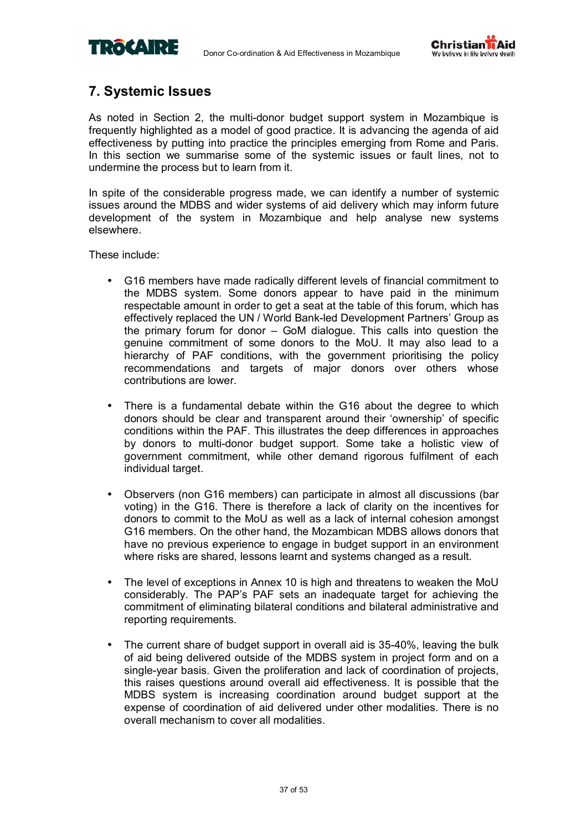



### **7. Systemic Issues**

As noted in Section 2, the multi-donor budget support system in Mozambique is frequently highlighted as a model of good practice. It is advancing the agenda of aid effectiveness by putting into practice the principles emerging from Rome and Paris. In this section we summarise some of the systemic issues or fault lines, not to undermine the process but to learn from it.

In spite of the considerable progress made, we can identify a number of systemic issues around the MDBS and wider systems of aid delivery which may inform future development of the system in Mozambique and help analyse new systems elsewhere.

These include:

- G16 members have made radically different levels of financial commitment to the MDBS system. Some donors appear to have paid in the minimum respectable amount in order to get a seat at the table of this forum, which has effectively replaced the UN / World Bank-led Development Partnersí Group as the primary forum for donor  $-$  GoM dialogue. This calls into question the genuine commitment of some donors to the MoU. It may also lead to a hierarchy of PAF conditions, with the government prioritising the policy recommendations and targets of major donors over others whose contributions are lower.
- There is a fundamental debate within the G16 about the degree to which donors should be clear and transparent around their 'ownership' of specific conditions within the PAF. This illustrates the deep differences in approaches by donors to multi-donor budget support. Some take a holistic view of government commitment, while other demand rigorous fulfilment of each individual target.
- Observers (non G16 members) can participate in almost all discussions (bar voting) in the G16. There is therefore a lack of clarity on the incentives for donors to commit to the MoU as well as a lack of internal cohesion amongst G16 members. On the other hand, the Mozambican MDBS allows donors that have no previous experience to engage in budget support in an environment where risks are shared, lessons learnt and systems changed as a result.
- The level of exceptions in Annex 10 is high and threatens to weaken the MoU considerably. The PAPís PAF sets an inadequate target for achieving the commitment of eliminating bilateral conditions and bilateral administrative and reporting requirements.
- The current share of budget support in overall aid is 35-40%, leaving the bulk of aid being delivered outside of the MDBS system in project form and on a single-year basis. Given the proliferation and lack of coordination of projects, this raises questions around overall aid effectiveness. It is possible that the MDBS system is increasing coordination around budget support at the expense of coordination of aid delivered under other modalities. There is no overall mechanism to cover all modalities.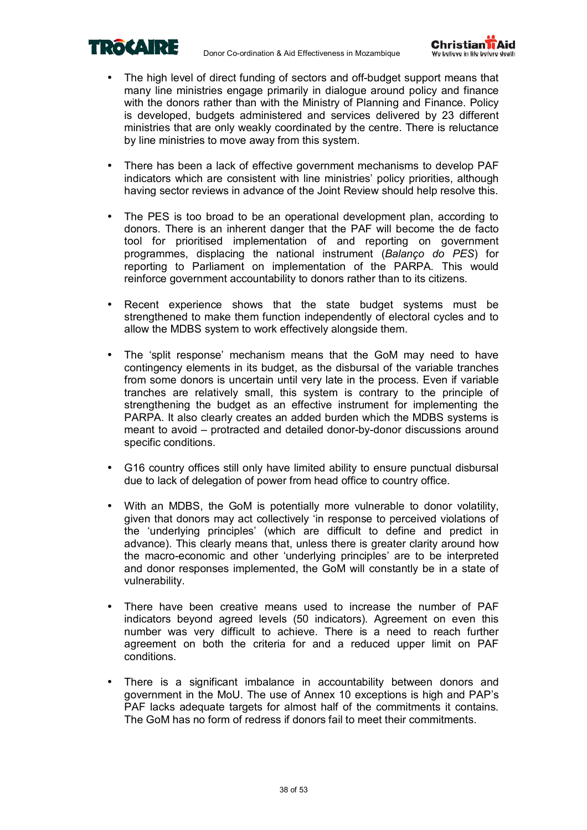



- The high level of direct funding of sectors and off-budget support means that many line ministries engage primarily in dialogue around policy and finance with the donors rather than with the Ministry of Planning and Finance. Policy is developed, budgets administered and services delivered by 23 different ministries that are only weakly coordinated by the centre. There is reluctance by line ministries to move away from this system.
- There has been a lack of effective government mechanisms to develop PAF indicators which are consistent with line ministries' policy priorities, although having sector reviews in advance of the Joint Review should help resolve this.
- The PES is too broad to be an operational development plan, according to donors. There is an inherent danger that the PAF will become the de facto tool for prioritised implementation of and reporting on government programmes, displacing the national instrument (*Balanço do PES*) for reporting to Parliament on implementation of the PARPA. This would reinforce government accountability to donors rather than to its citizens.
- Recent experience shows that the state budget systems must be strengthened to make them function independently of electoral cycles and to allow the MDBS system to work effectively alongside them.
- The 'split response' mechanism means that the GoM may need to have contingency elements in its budget, as the disbursal of the variable tranches from some donors is uncertain until very late in the process. Even if variable tranches are relatively small, this system is contrary to the principle of strengthening the budget as an effective instrument for implementing the PARPA. It also clearly creates an added burden which the MDBS systems is meant to avoid – protracted and detailed donor-by-donor discussions around specific conditions.
- G16 country offices still only have limited ability to ensure punctual disbursal due to lack of delegation of power from head office to country office.
- With an MDBS, the GoM is potentially more vulnerable to donor volatility, given that donors may act collectively ëin response to perceived violations of the 'underlying principles' (which are difficult to define and predict in advance). This clearly means that, unless there is greater clarity around how the macro-economic and other ëunderlying principlesí are to be interpreted and donor responses implemented, the GoM will constantly be in a state of vulnerability.
- There have been creative means used to increase the number of PAF indicators beyond agreed levels (50 indicators). Agreement on even this number was very difficult to achieve. There is a need to reach further agreement on both the criteria for and a reduced upper limit on PAF conditions.
- There is a significant imbalance in accountability between donors and government in the MoU. The use of Annex 10 exceptions is high and PAP's PAF lacks adequate targets for almost half of the commitments it contains. The GoM has no form of redress if donors fail to meet their commitments.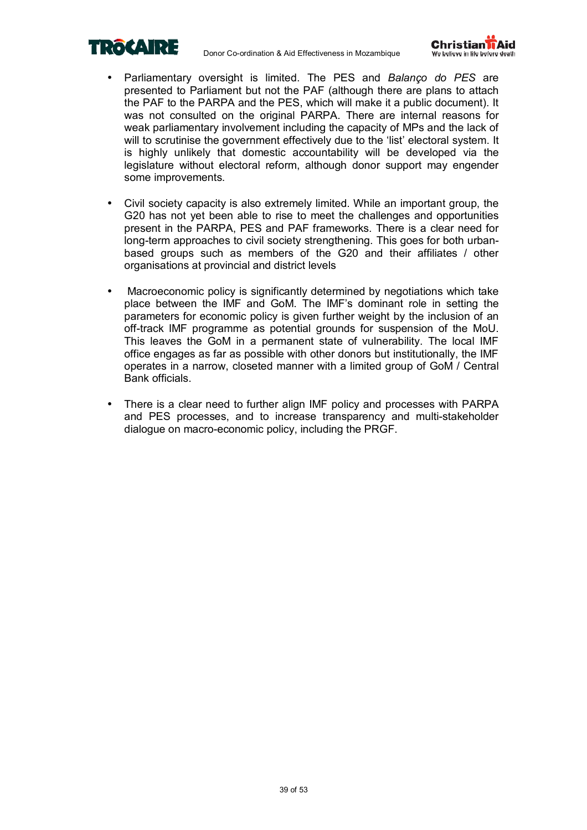



- Parliamentary oversight is limited. The PES and *Balanço do PES* are presented to Parliament but not the PAF (although there are plans to attach the PAF to the PARPA and the PES, which will make it a public document). It was not consulted on the original PARPA. There are internal reasons for weak parliamentary involvement including the capacity of MPs and the lack of will to scrutinise the government effectively due to the 'list' electoral system. It is highly unlikely that domestic accountability will be developed via the legislature without electoral reform, although donor support may engender some improvements.
- Civil society capacity is also extremely limited. While an important group, the G20 has not yet been able to rise to meet the challenges and opportunities present in the PARPA, PES and PAF frameworks. There is a clear need for long-term approaches to civil society strengthening. This goes for both urbanbased groups such as members of the G20 and their affiliates / other organisations at provincial and district levels
- Macroeconomic policy is significantly determined by negotiations which take place between the IMF and GoM. The IMF's dominant role in setting the parameters for economic policy is given further weight by the inclusion of an off-track IMF programme as potential grounds for suspension of the MoU. This leaves the GoM in a permanent state of vulnerability. The local IMF office engages as far as possible with other donors but institutionally, the IMF operates in a narrow, closeted manner with a limited group of GoM / Central Bank officials.
- There is a clear need to further align IMF policy and processes with PARPA and PES processes, and to increase transparency and multi-stakeholder dialogue on macro-economic policy, including the PRGF.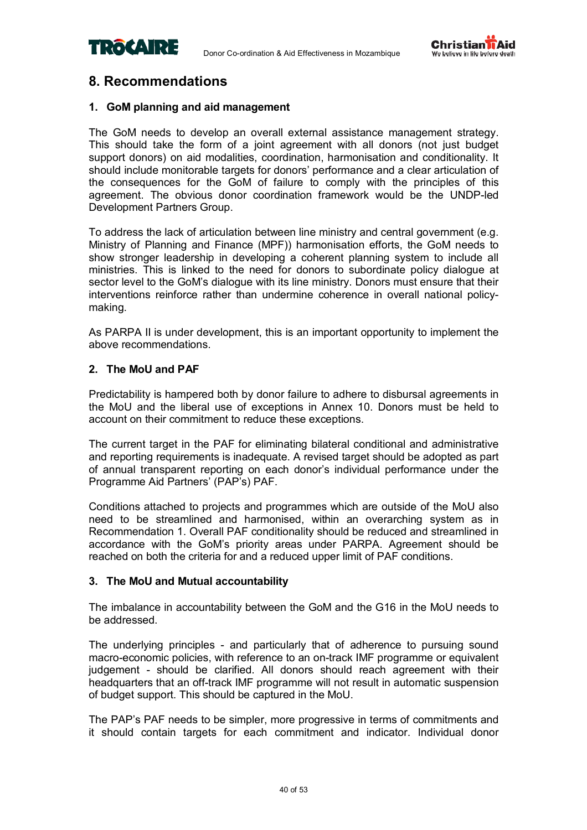



### **8. Recommendations**

### **1. GoM planning and aid management**

The GoM needs to develop an overall external assistance management strategy. This should take the form of a joint agreement with all donors (not just budget support donors) on aid modalities, coordination, harmonisation and conditionality. It should include monitorable targets for donors' performance and a clear articulation of the consequences for the GoM of failure to comply with the principles of this agreement. The obvious donor coordination framework would be the UNDP-led Development Partners Group.

To address the lack of articulation between line ministry and central government (e.g. Ministry of Planning and Finance (MPF)) harmonisation efforts, the GoM needs to show stronger leadership in developing a coherent planning system to include all ministries. This is linked to the need for donors to subordinate policy dialogue at sector level to the GoM's dialogue with its line ministry. Donors must ensure that their interventions reinforce rather than undermine coherence in overall national policymaking.

As PARPA II is under development, this is an important opportunity to implement the above recommendations.

### **2. The MoU and PAF**

Predictability is hampered both by donor failure to adhere to disbursal agreements in the MoU and the liberal use of exceptions in Annex 10. Donors must be held to account on their commitment to reduce these exceptions.

The current target in the PAF for eliminating bilateral conditional and administrative and reporting requirements is inadequate. A revised target should be adopted as part of annual transparent reporting on each donorís individual performance under the Programme Aid Partners' (PAP's) PAF.

Conditions attached to projects and programmes which are outside of the MoU also need to be streamlined and harmonised, within an overarching system as in Recommendation 1. Overall PAF conditionality should be reduced and streamlined in accordance with the GoMís priority areas under PARPA. Agreement should be reached on both the criteria for and a reduced upper limit of PAF conditions.

### **3. The MoU and Mutual accountability**

The imbalance in accountability between the GoM and the G16 in the MoU needs to be addressed.

The underlying principles - and particularly that of adherence to pursuing sound macro-economic policies, with reference to an on-track IMF programme or equivalent judgement - should be clarified. All donors should reach agreement with their headquarters that an off-track IMF programme will not result in automatic suspension of budget support. This should be captured in the MoU.

The PAP's PAF needs to be simpler, more progressive in terms of commitments and it should contain targets for each commitment and indicator. Individual donor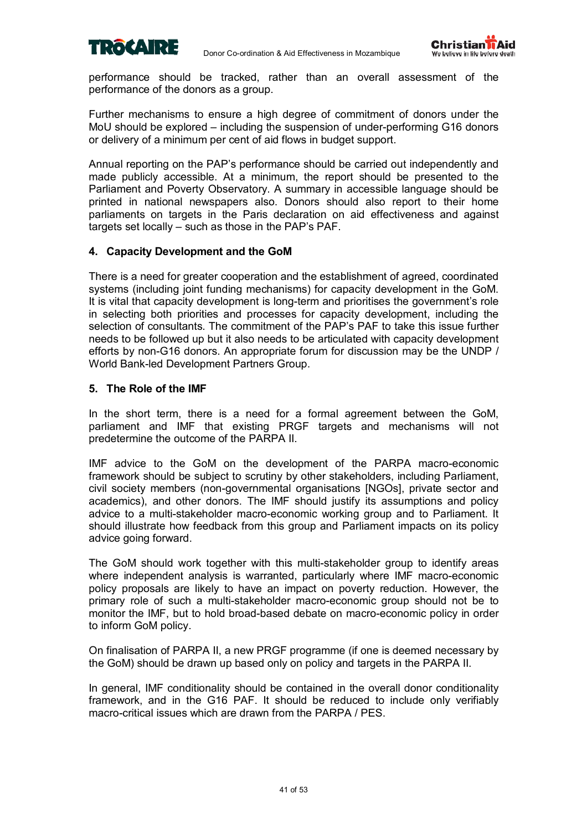



performance should be tracked, rather than an overall assessment of the performance of the donors as a group.

Further mechanisms to ensure a high degree of commitment of donors under the MoU should be explored  $-$  including the suspension of under-performing G16 donors or delivery of a minimum per cent of aid flows in budget support.

Annual reporting on the PAPís performance should be carried out independently and made publicly accessible. At a minimum, the report should be presented to the Parliament and Poverty Observatory. A summary in accessible language should be printed in national newspapers also. Donors should also report to their home parliaments on targets in the Paris declaration on aid effectiveness and against targets set locally  $-$  such as those in the PAP's PAF.

### **4. Capacity Development and the GoM**

There is a need for greater cooperation and the establishment of agreed, coordinated systems (including joint funding mechanisms) for capacity development in the GoM. It is vital that capacity development is long-term and prioritises the governmentís role in selecting both priorities and processes for capacity development, including the selection of consultants. The commitment of the PAP's PAF to take this issue further needs to be followed up but it also needs to be articulated with capacity development efforts by non-G16 donors. An appropriate forum for discussion may be the UNDP / World Bank-led Development Partners Group.

### **5. The Role of the IMF**

In the short term, there is a need for a formal agreement between the GoM, parliament and IMF that existing PRGF targets and mechanisms will not predetermine the outcome of the PARPA II.

IMF advice to the GoM on the development of the PARPA macro-economic framework should be subject to scrutiny by other stakeholders, including Parliament, civil society members (non-governmental organisations [NGOs], private sector and academics), and other donors. The IMF should justify its assumptions and policy advice to a multi-stakeholder macro-economic working group and to Parliament. It should illustrate how feedback from this group and Parliament impacts on its policy advice going forward.

The GoM should work together with this multi-stakeholder group to identify areas where independent analysis is warranted, particularly where IMF macro-economic policy proposals are likely to have an impact on poverty reduction. However, the primary role of such a multi-stakeholder macro-economic group should not be to monitor the IMF, but to hold broad-based debate on macro-economic policy in order to inform GoM policy.

On finalisation of PARPA II, a new PRGF programme (if one is deemed necessary by the GoM) should be drawn up based only on policy and targets in the PARPA II.

In general, IMF conditionality should be contained in the overall donor conditionality framework, and in the G16 PAF. It should be reduced to include only verifiably macro-critical issues which are drawn from the PARPA / PES.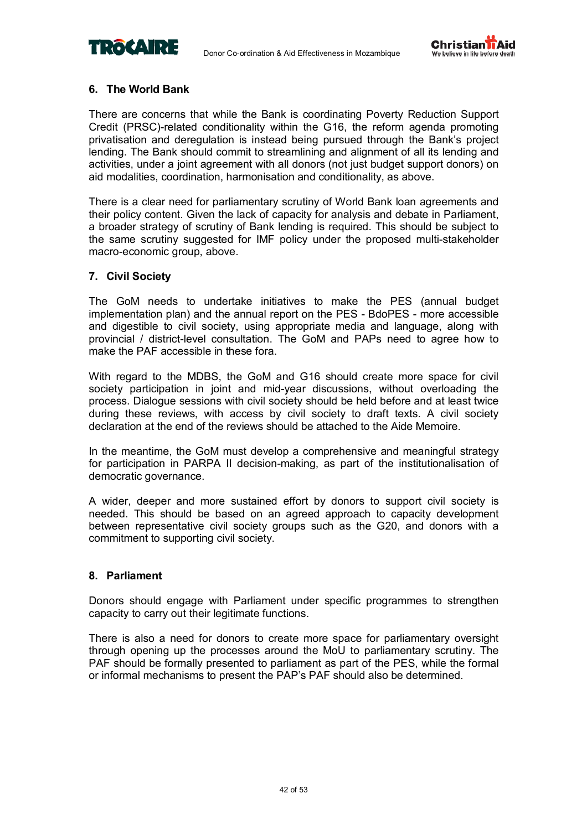



### **6. The World Bank**

There are concerns that while the Bank is coordinating Poverty Reduction Support Credit (PRSC)-related conditionality within the G16, the reform agenda promoting privatisation and deregulation is instead being pursued through the Bank's project lending. The Bank should commit to streamlining and alignment of all its lending and activities, under a joint agreement with all donors (not just budget support donors) on aid modalities, coordination, harmonisation and conditionality, as above.

There is a clear need for parliamentary scrutiny of World Bank loan agreements and their policy content. Given the lack of capacity for analysis and debate in Parliament, a broader strategy of scrutiny of Bank lending is required. This should be subject to the same scrutiny suggested for IMF policy under the proposed multi-stakeholder macro-economic group, above.

### **7. Civil Society**

The GoM needs to undertake initiatives to make the PES (annual budget implementation plan) and the annual report on the PES - BdoPES - more accessible and digestible to civil society, using appropriate media and language, along with provincial / district-level consultation. The GoM and PAPs need to agree how to make the PAF accessible in these fora.

With regard to the MDBS, the GoM and G16 should create more space for civil society participation in joint and mid-year discussions, without overloading the process. Dialogue sessions with civil society should be held before and at least twice during these reviews, with access by civil society to draft texts. A civil society declaration at the end of the reviews should be attached to the Aide Memoire.

In the meantime, the GoM must develop a comprehensive and meaningful strategy for participation in PARPA II decision-making, as part of the institutionalisation of democratic governance.

A wider, deeper and more sustained effort by donors to support civil society is needed. This should be based on an agreed approach to capacity development between representative civil society groups such as the G20, and donors with a commitment to supporting civil society.

### **8. Parliament**

Donors should engage with Parliament under specific programmes to strengthen capacity to carry out their legitimate functions.

There is also a need for donors to create more space for parliamentary oversight through opening up the processes around the MoU to parliamentary scrutiny. The PAF should be formally presented to parliament as part of the PES, while the formal or informal mechanisms to present the PAP's PAF should also be determined.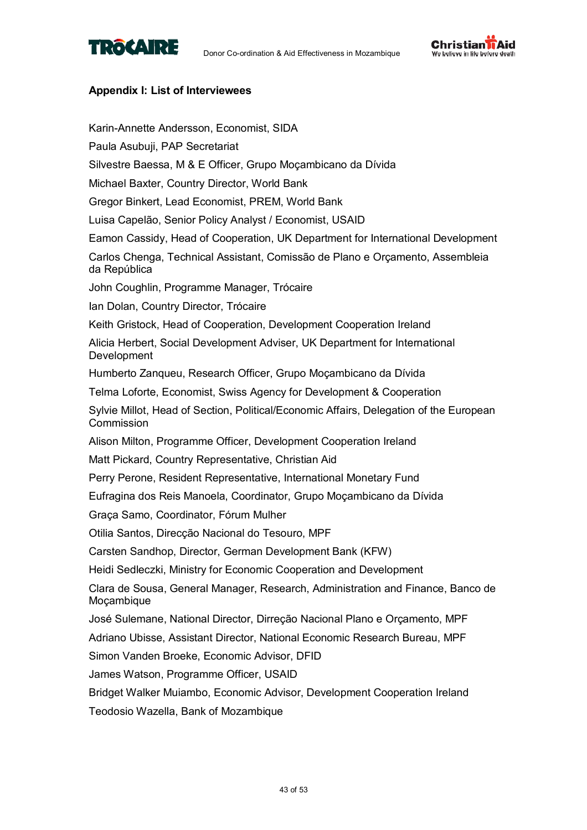



### **Appendix I: List of Interviewees**

Karin-Annette Andersson, Economist, SIDA Paula Asubuji, PAP Secretariat Silvestre Baessa, M & E Officer, Grupo Moçambicano da Dívida Michael Baxter, Country Director, World Bank Gregor Binkert, Lead Economist, PREM, World Bank Luisa Capelão, Senior Policy Analyst / Economist, USAID Eamon Cassidy, Head of Cooperation, UK Department for International Development Carlos Chenga, Technical Assistant, Comissão de Plano e Orçamento, Assembleia da República John Coughlin, Programme Manager, Trócaire Ian Dolan, Country Director, Trócaire Keith Gristock, Head of Cooperation, Development Cooperation Ireland Alicia Herbert, Social Development Adviser, UK Department for International Development Humberto Zanqueu, Research Officer, Grupo Moçambicano da Dívida Telma Loforte, Economist, Swiss Agency for Development & Cooperation Sylvie Millot, Head of Section, Political/Economic Affairs, Delegation of the European Commission Alison Milton, Programme Officer, Development Cooperation Ireland Matt Pickard, Country Representative, Christian Aid Perry Perone, Resident Representative, International Monetary Fund Eufragina dos Reis Manoela, Coordinator, Grupo Moçambicano da Dívida Graça Samo, Coordinator, Fórum Mulher Otilia Santos, Direcção Nacional do Tesouro, MPF Carsten Sandhop, Director, German Development Bank (KFW) Heidi Sedleczki, Ministry for Economic Cooperation and Development Clara de Sousa, General Manager, Research, Administration and Finance, Banco de Mocambique José Sulemane, National Director, Dirreção Nacional Plano e Orçamento, MPF Adriano Ubisse, Assistant Director, National Economic Research Bureau, MPF Simon Vanden Broeke, Economic Advisor, DFID James Watson, Programme Officer, USAID Bridget Walker Muiambo, Economic Advisor, Development Cooperation Ireland Teodosio Wazella, Bank of Mozambique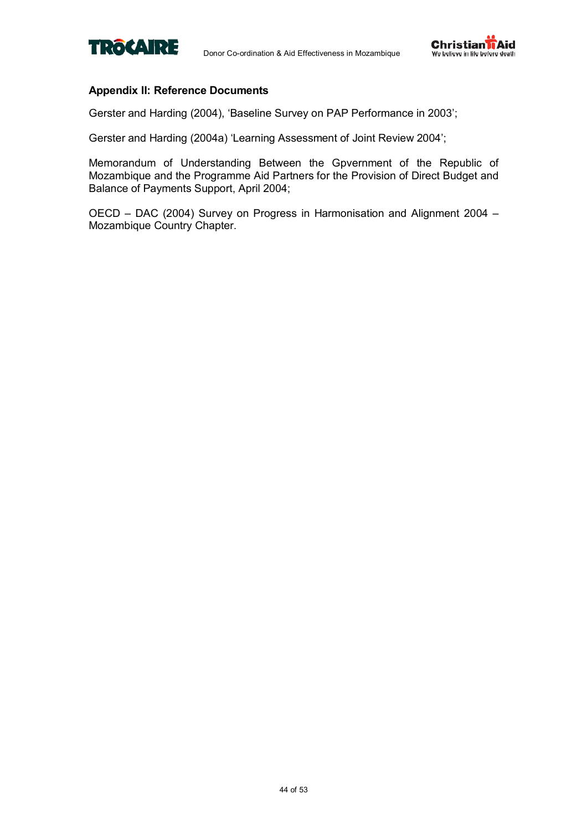



### **Appendix II: Reference Documents**

Gerster and Harding (2004), 'Baseline Survey on PAP Performance in 2003';

Gerster and Harding (2004a) 'Learning Assessment of Joint Review 2004';

Memorandum of Understanding Between the Gpvernment of the Republic of Mozambique and the Programme Aid Partners for the Provision of Direct Budget and Balance of Payments Support, April 2004;

OECD - DAC (2004) Survey on Progress in Harmonisation and Alignment 2004 -Mozambique Country Chapter.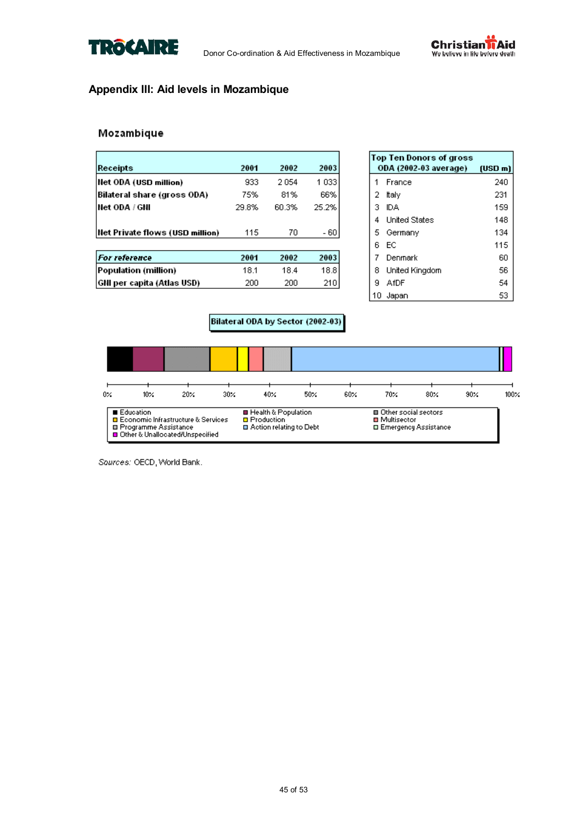



### **Appendix III: Aid levels in Mozambique**

### Mozambique

| Receipts                        | 2001  | 2002  | 2003  |
|---------------------------------|-------|-------|-------|
| Net ODA (USD million)           | 933   | 2.054 | 1 033 |
| Bilateral share (gross ODA)     | 75%   | 81%   | 66%   |
| Het ODA / GNI                   | 29.8% | 60.3% | 25.2% |
| Net Private flows (USD million) | 115   | 70    | - 60  |
| <b>For reference</b>            | 2001  | 2002  | 2003  |
| Population (million)            | 18.1  | 18.4  | 18.8  |
| GNI per capita (Atlas USD)      | 200   | 200   | 210   |

|    | Top Ten Donors of gross<br>ODA (2002-03 average) (USD m) |     |
|----|----------------------------------------------------------|-----|
|    | France                                                   | 240 |
| 2  | ltaly                                                    | 231 |
| 3  | IDA.                                                     | 159 |
| 4  | <b>United States</b>                                     | 148 |
| 5. | Germany                                                  | 134 |
| 6  | EC.                                                      | 115 |
| 7  | Denmark                                                  | 60  |
| 8  | United Kingdom                                           | 56  |
| я  | AfDF                                                     | 54  |
| 10 | Japan                                                    | 53  |

### Bilateral ODA by Sector (2002-03)



Sources: OECD, World Bank.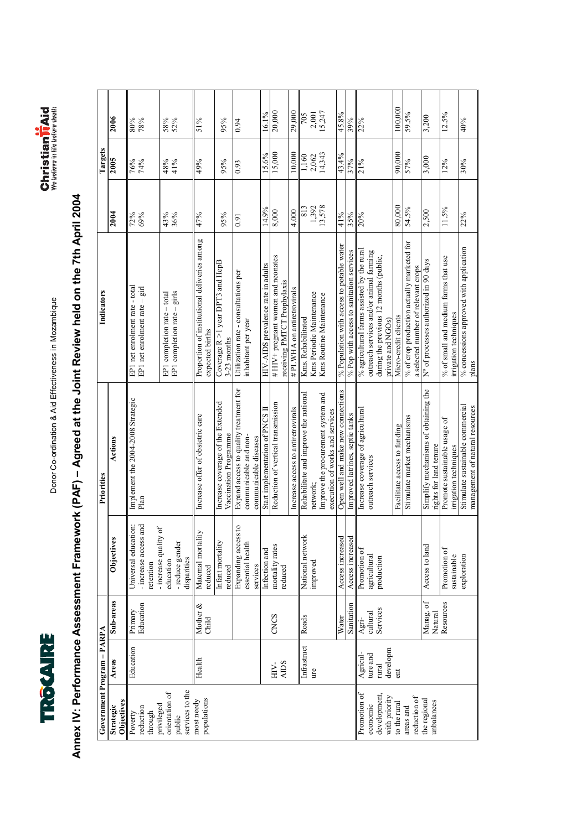



# Annex IV: Performance Assessment Framework (PAF) - Agreed at the Joint Review held on the 7th April 2004 **Annex IV: Performance Assessment Framework (PAF) ñ Agreed at the Joint Review held on the 7th April 2004**

| Government Program - PARPA                                |                     |                      |                                                                      | Priorities                                                                               | Indicators                                                                        |            | <b>Targets</b>                                          |            |
|-----------------------------------------------------------|---------------------|----------------------|----------------------------------------------------------------------|------------------------------------------------------------------------------------------|-----------------------------------------------------------------------------------|------------|---------------------------------------------------------|------------|
| Objectives<br>Strategic                                   | Areas               | Sub-areas            | Objectives                                                           | Actions                                                                                  |                                                                                   | 2004       | 2005                                                    | 2006       |
| reduction<br>through<br>Poverty                           | Education           | Education<br>Primary | Universal education:<br>- increase access and<br>retention           | Implement the 2004-2008 Strategic<br>Plan                                                | EP1 net enrolment rate - total<br>EP1 net enrolment rate $-$ girl                 | 72%<br>69% | 76%<br>74%                                              | 80%<br>78% |
| services to the<br>orientation of<br>privileged<br>public |                     |                      | - increase quality of<br>- reduce gender<br>disparities<br>education |                                                                                          | EP1 completion rate - girls<br>EP1 completion rate - total                        | 43%<br>36% | 48%<br>41%                                              | 58%<br>52% |
| populations<br>most needy                                 | Health              | Mother &<br>Child    | Maternal mortality<br>reduced                                        | Increase offer of obstetric care                                                         | Proportion of institutional deliveries among<br>expected births                   | 47%        | 49%                                                     | 51%        |
|                                                           |                     |                      | Infant mortality<br>reduced                                          | Increase coverage of the Extended<br>Vaccination Programme                               | Coverage $R > 1$ year DPT3 and HepB<br>3-23 months                                | 95%        | 95%                                                     | 95%        |
|                                                           |                     |                      | g<br>Expanding access<br>essential health<br>services                | Expand access to quality treatment for<br>communicable and non-<br>communicable diseases | Utilization rate - consultations per<br>inhabitant per year                       | 0.91       | 0.93                                                    | 0.94       |
|                                                           |                     |                      | Infection and                                                        | Start implementation of PNCS II                                                          | HIV-AIDS prevalence rate in adults                                                | 14.9%      | 15.6%                                                   | 16.1%      |
|                                                           | <b>AIDS</b><br>HIV- | CNCS                 | mortality rates<br>reduced                                           | Reduction of vertical transmission                                                       | #HIV+ pregnant women and neonates<br>receiving PMTCT Prophylaxis                  | 8,000      | 15,000                                                  | 20,000     |
|                                                           |                     |                      |                                                                      | Increase access to antiretrovirals                                                       | # PLWHA on antiretrovirals                                                        | 4,000      | 10,000                                                  | 29,000     |
|                                                           | Infrastruct         | Roads                | National network                                                     | Rehabilitate and improve the national                                                    | Kms. Rehabilitated                                                                | 813        |                                                         | 705        |
|                                                           | ure                 |                      | improved                                                             | network:                                                                                 | Kms Periodic Maintenance                                                          | 1,392      | $\begin{array}{c} 1,160 \\ 2,062 \\ 14,343 \end{array}$ | 2,001      |
|                                                           |                     |                      |                                                                      | Improve the procurement system and<br>execution of works and services                    | Kms Routine Maintenance                                                           | 13,578     |                                                         | 15,247     |
|                                                           |                     | Water                | Access increased                                                     | Open well and make new connections                                                       | % Population with access to potable water                                         | 41%        | 43.4%                                                   | 45.8%      |
|                                                           |                     | Sanitation           | Access increased                                                     | Improved latrines, septic tanks                                                          | % Pop with access to sanitation services                                          | 35%        | 37%                                                     | 39%        |
| Promotion of                                              | Agricul-            | Agri-                | Promotion of                                                         | Increase coverage of agricultural                                                        | % a gricultural farms assisted by the rural                                       | 20%        | 21%                                                     | 22%        |
| economic                                                  | ture and            | cultural             | agricultural                                                         | outreach services                                                                        | outreach services and/or animal farming                                           |            |                                                         |            |
| development<br>with priority                              | developm<br>rural   | Services             | production                                                           |                                                                                          | during the previous 12 months (public,<br>private and NGOs)                       |            |                                                         |            |
| to the rural                                              | ent                 |                      |                                                                      | Facilitate access to funding                                                             | Micro-credit clients                                                              | 80,000     | 90,000                                                  | 100,000    |
| reduction of<br>areas and                                 |                     |                      |                                                                      | Stimulate market mechanisms                                                              | % of crop production actually marketed for<br>a selected number of relevant crops | 54.5%      | 57%                                                     | 59.5%      |
| the regional<br>unbalances                                |                     | Manag. of            | Access to land                                                       | Simplify mechanisms of obtaining the<br>rights for land tenure                           | N° of processes authorized in 90 days                                             | 2,500      | 3,000                                                   | 3,200      |
|                                                           |                     | Natural<br>Resources | Promotion of<br>sustainable                                          | Promote sustainable usage of<br>irrigation techniques                                    | % of small and medium farms that use<br>irrigation techniques                     | 11.5%      | 12%                                                     | 12.5%      |
|                                                           |                     |                      | exploration                                                          | Stimulate sustainable commercial<br>management of natural resources                      | % concessions approved with application<br>plans                                  | 22%        | 30%                                                     | 40%        |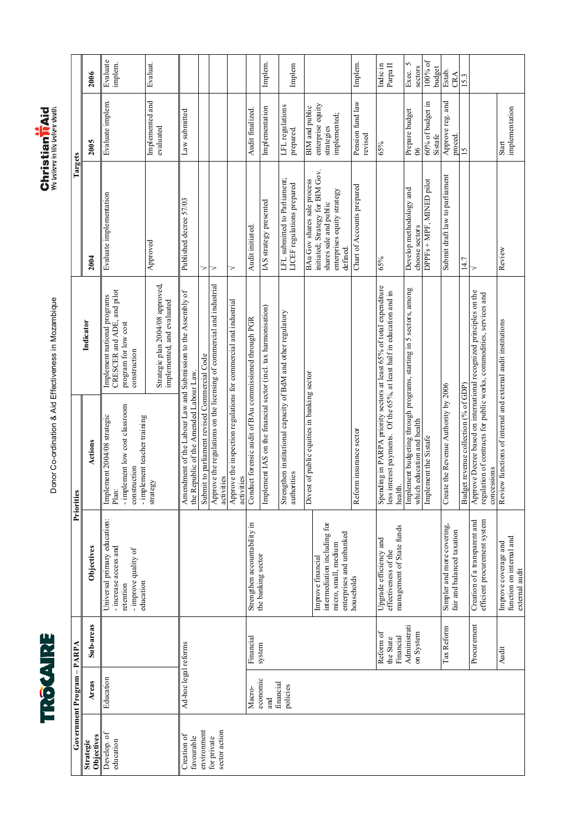



|                            | 2006                    | Evaluate<br>implem.                                                                                     | <b>Evaluat</b>                                                 |                                                                                                       |                                                                                                                       |                              |                                                                                              |                                                        | Implem.                                                         | Implem                                                                       |                                                                                           |                                         | Implem.                                | Parpa $\Pi$<br>Indic in                                                                                                                              | 5<br>sectors<br>Exec.                                              | 100% of                                             | budget<br>Estab.<br>CRA              | 15.3                                 |                                                                                                                                           |
|----------------------------|-------------------------|---------------------------------------------------------------------------------------------------------|----------------------------------------------------------------|-------------------------------------------------------------------------------------------------------|-----------------------------------------------------------------------------------------------------------------------|------------------------------|----------------------------------------------------------------------------------------------|--------------------------------------------------------|-----------------------------------------------------------------|------------------------------------------------------------------------------|-------------------------------------------------------------------------------------------|-----------------------------------------|----------------------------------------|------------------------------------------------------------------------------------------------------------------------------------------------------|--------------------------------------------------------------------|-----------------------------------------------------|--------------------------------------|--------------------------------------|-------------------------------------------------------------------------------------------------------------------------------------------|
| Targets                    | 2005                    | Evaluate implem.                                                                                        | Implemented and<br>evaluated                                   | Law submitted                                                                                         |                                                                                                                       |                              |                                                                                              | Audit finalized.                                       | Implementation                                                  | LFL regulations<br>prepared.                                                 | enterprise equity<br>BIM and public<br>strategies                                         | implemented;                            | Pension fund law<br>revised            | 65%                                                                                                                                                  | Prepare budget<br>$\delta$                                         | 60% of budget in                                    | Approve reg. and<br>Sistafe          | proced.<br>15                        |                                                                                                                                           |
|                            | 2004                    | Evaluate implementation                                                                                 | Approved                                                       | Published decree 57/03                                                                                | >                                                                                                                     | 7                            | 7                                                                                            | Audit initiated                                        | IAS strategy presented                                          | LFL submitted to Parliament;<br>LICEF regulations prepared                   | initiated; Strategy for BIM Gov.<br>BAu Gov shares sale process<br>shares sale and public | enterprises equity strategy<br>defined. | Chart of Accounts prepared             | 65%                                                                                                                                                  | Develop methodology and                                            | DPPFs + MPF, MINED pilot<br>choose sectors          | Submit draft law to parliament       | 14.7                                 | 7                                                                                                                                         |
|                            | Indicator               | CRESCER and ADE, and pilot<br>Implement national programs<br>program for low cost<br>construction       | Strategic plan 2004/08 approved,<br>implemented, and evaluated | Amendment of the Labour Law and Submission to the Assembly of the Republic of the Amended Labour Law. | Submit to parliament revised Commercial Code<br>Approve the regulations on the licensing of commercial and industrial |                              |                                                                                              |                                                        |                                                                 |                                                                              |                                                                                           |                                         |                                        | Spending in PARPA priority sectors at least $65\%$ of total expenditure<br>less interest payments. Of the $65\%$ , at least half in education and in | Implement budgeting through programs, starting in 5 sectors, among |                                                     |                                      |                                      | Approve Decree based on international recognized principles on the<br>regulation of contracts for public works, commodities, services and |
| Priorities                 | Actions                 | - implement low cost classroom<br>Implement 2004/08 strategic<br>construction<br>Plan:                  | - implement teacher training<br>strategy                       |                                                                                                       |                                                                                                                       |                              | activities<br>Approve the inspection regulations for commercial and industrial<br>activities | Conduct forensic audit of BAu commissioned through PGR | Implement IAS on the financial sector (incl. tax harmonisation) | Strengthen institutional capacity of BdM and other regulatory<br>authorities | Divest of public equities in banking sector                                               |                                         | Reform insurance sector                |                                                                                                                                                      | health.                                                            | which education and health<br>Implement the Sistafe | Create the Revenue Authority by 2006 | Budget revenue collection (% of GDP) | Review functions of internal and external audit institutions<br>concessions                                                               |
|                            | <b>Objectives</b>       | Universal primary education:<br>- increase access and<br>- improve quality of<br>education<br>retention |                                                                |                                                                                                       |                                                                                                                       |                              |                                                                                              | Strengthen accountability in                           | the banking sector                                              |                                                                              | intermediation including for<br>Improve financial                                         | micro, small, medium                    | enterprises and unbanked<br>households | Upgrade efficiency and<br>effectiveness of the                                                                                                       | management of State funds                                          |                                                     | Simpler and more covering,           | fair and balanced taxation           | efficient procurement system<br>Creation of a transparent and                                                                             |
|                            | Sub-areas               |                                                                                                         |                                                                |                                                                                                       |                                                                                                                       |                              |                                                                                              | Financial                                              | system                                                          |                                                                              |                                                                                           |                                         |                                        | Reform of<br>Financial<br>the State                                                                                                                  | Administrati<br>on System                                          |                                                     | Tax Reform                           |                                      | Procurement                                                                                                                               |
| Government Program - PARPA | Areas                   | Education                                                                                               |                                                                | Ad-hoc legal reforms                                                                                  |                                                                                                                       |                              |                                                                                              | Macro-                                                 | economic<br><b>Rue</b>                                          | financial<br>policies                                                        |                                                                                           |                                         |                                        |                                                                                                                                                      |                                                                    |                                                     |                                      |                                      |                                                                                                                                           |
|                            | Objectives<br>Strategic | Develop. of<br>education                                                                                |                                                                | Creation of<br>favourable                                                                             | environment                                                                                                           | sector action<br>for private |                                                                                              |                                                        |                                                                 |                                                                              |                                                                                           |                                         |                                        |                                                                                                                                                      |                                                                    |                                                     |                                      |                                      |                                                                                                                                           |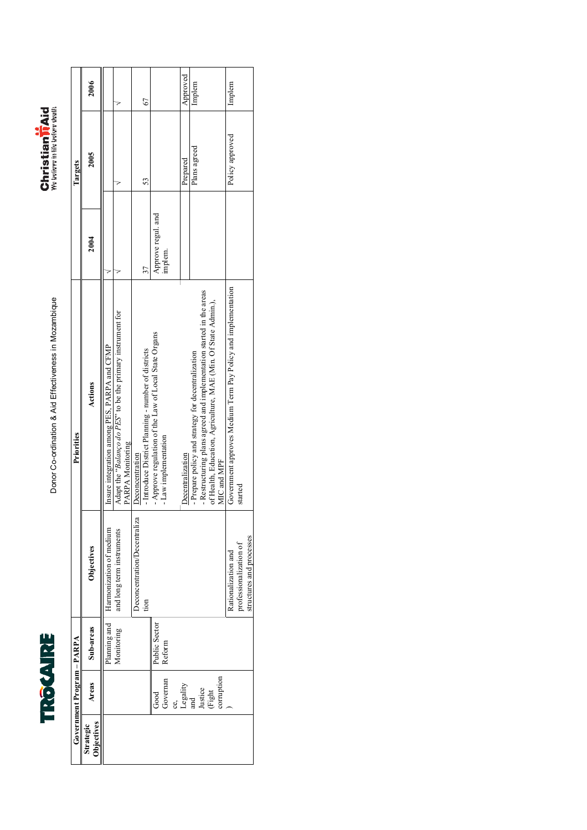



|                                | Government Program - PARPA |               |                              | Priorities                                                                      |                    | Targets         |          |
|--------------------------------|----------------------------|---------------|------------------------------|---------------------------------------------------------------------------------|--------------------|-----------------|----------|
| <b>Objectives</b><br>Strategic | Areas                      | Sub-areas     | Objectives                   | Actions                                                                         | 2004               | 2005            | 2006     |
|                                |                            | Planning and  | Harmonization of medium      | Insure integration among PES, PARPA and CFMP                                    |                    |                 |          |
|                                |                            | Monitoring    | and long term instruments    | Adapt the "Balanço do PES" to be the primary instrument for<br>PARPA Monitoring |                    |                 |          |
|                                |                            |               | Deconcentration/Decentraliza | Deconcentration                                                                 |                    |                 |          |
|                                |                            |               | tion                         | - Introduce District Planning - number of districts                             |                    | 53              | 67       |
|                                | $_{\rm Good}$              | Public Sector |                              | - Approve regulation of the Law of Local State Organs                           | Approve regul. and |                 |          |
|                                | Governan                   | Reform        |                              | -Law implementation                                                             | implem.            |                 |          |
|                                |                            |               |                              |                                                                                 |                    |                 |          |
|                                | Legality                   |               |                              | Decentralization                                                                |                    | Prepared        | Approved |
|                                | and                        |               |                              | - Prepare policy and strategy for decentralization                              |                    | Plans agreed    | Implem   |
|                                | Justice                    |               |                              | - Restructuring plans agreed and implementation started in the areas            |                    |                 |          |
|                                | (Fight                     |               |                              | of Health, Education, Agriculture, MAE (Min. Of State Admin.),                  |                    |                 |          |
|                                | corruption                 |               |                              | MIC and MPF                                                                     |                    |                 |          |
|                                |                            |               | Rationalization and          | Government approves Medium Term Pay Policy and implementation                   |                    | Policy approved | Implem   |
|                                |                            |               | professionalization of       | started                                                                         |                    |                 |          |
|                                |                            |               | structures and processes     |                                                                                 |                    |                 |          |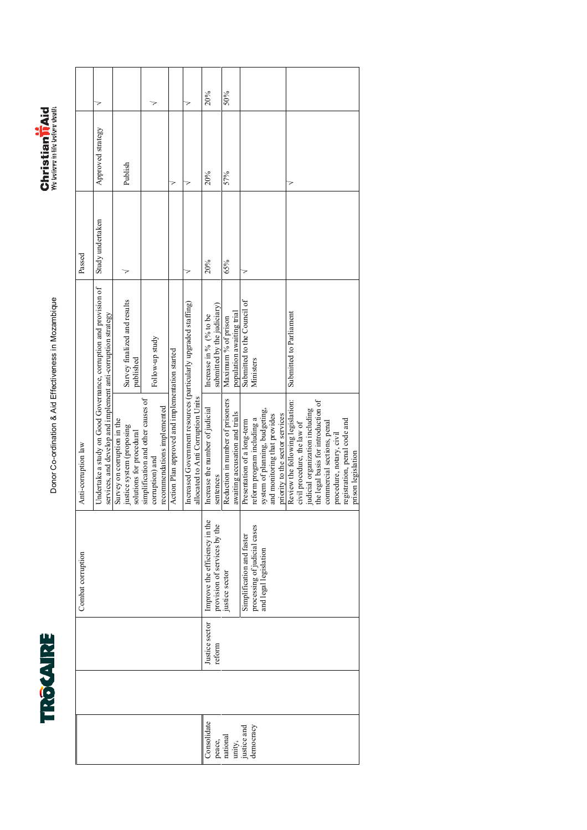



|                       |                          | Combat corruption                                             | Anti-corruption law                                                                                                               |                                                       | Passed           |                   |     |
|-----------------------|--------------------------|---------------------------------------------------------------|-----------------------------------------------------------------------------------------------------------------------------------|-------------------------------------------------------|------------------|-------------------|-----|
|                       |                          |                                                               | Undertake a study on Good Governance, corruption and provision of<br>services, and develop and implement anti-corruption strategy |                                                       | Study undertaken | Approved strategy |     |
|                       |                          |                                                               | Survey on corruption in the<br>justice system (proposing<br>solutions for procedural                                              | Survey finalized and results<br>published             |                  | Publish           |     |
|                       |                          |                                                               | simplification and other causes of<br>recommendations implemented<br>corruption) and                                              | Follow-up study                                       |                  |                   |     |
|                       |                          |                                                               | Action Plan approved and implementation started                                                                                   |                                                       |                  | 7                 |     |
|                       |                          |                                                               | Increased Government resources (particularly upgraded staffing)<br>allocated to Anti Corruption Units                             |                                                       |                  |                   |     |
| Consolidate<br>peace, | Justice sector<br>reform | Improve the efficiency in the<br>provision of services by the | Increase the number of judicial<br>sentences                                                                                      | submitted by the judiciary)<br>Increase in % (% to be | 20%              | 20%               | 20% |
| national<br>unity,    |                          | justice sector                                                | Reduction in number of prisoners<br>awaiting accusation and trials                                                                | population awaiting trial<br>Maximum % of prison      | 65%              | 57%               | 50% |
| justice and           |                          | Simplification and faster                                     | Presentation of a long-term                                                                                                       | Submitted to the Council of                           | >                |                   |     |
| democracy             |                          | processing of judicial cases<br>and legal legislation         | system of planning, budgeting,<br>reform program including a                                                                      | Ministers                                             |                  |                   |     |
|                       |                          |                                                               | and monitoring that provides<br>priority to the sector services                                                                   |                                                       |                  |                   |     |
|                       |                          |                                                               | Review the following legislation:<br>civil procedure, the law of                                                                  | Submitted to Parliament                               |                  |                   |     |
|                       |                          |                                                               | the legal basis for introduction of<br>judicial organization including                                                            |                                                       |                  |                   |     |
|                       |                          |                                                               | commercial sections, penal                                                                                                        |                                                       |                  |                   |     |
|                       |                          |                                                               | procedure, notary, civil                                                                                                          |                                                       |                  |                   |     |
|                       |                          |                                                               | registration, penal code and<br>prison legislation                                                                                |                                                       |                  |                   |     |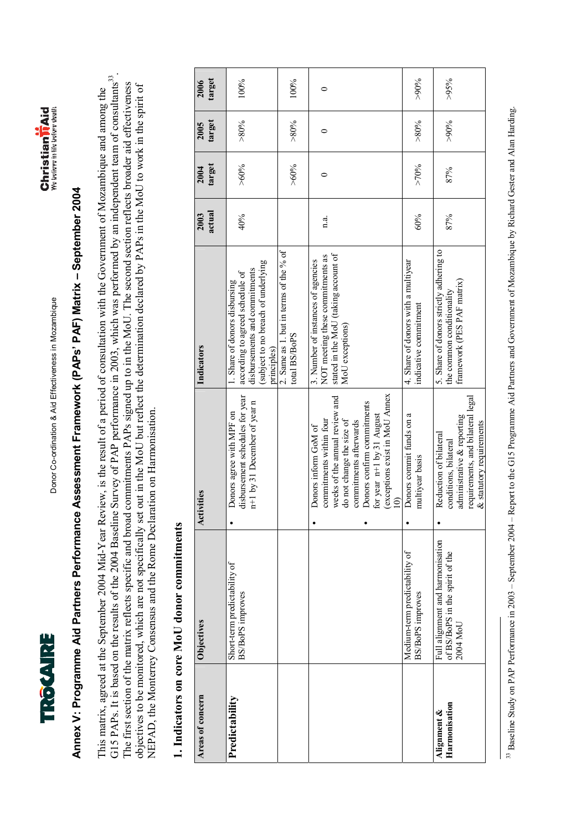



# **Annex V: Programme Aid Partners Performance Assessment Framework (PAPsí PAF) Matrix ñ September 2004**  Annex V: Programme Aid Partners Performance Assessment Framework (PAPs' PAF) Matrix - September 2004

G15 PAPs. It is based on the results of the 2004 Baseline Survey of PAP performance in 2003, which was performed by an independent team of consultants<sup>33</sup>. G15 PAPs. It is based on the results of the 2004 Baseline Survey of PAP performance in 2003, which was performed by an independent team of consultants<sup>33</sup>. The first section of the matrix reflects specific and broad commitments PAPs signed up to in the MoU. The second section reflects broader aid effectiveness The first section of the matrix reflects specific and broad commitments PAPs signed up to in the MoU. The second section reflects broader aid effectiveness objectives to be monitored, which are not specifically set out in the MoU but reflect the determination declared by PAPs in the MoU to work in the spirit of objectives to be monitored, which are not specifically set out in the MoU but reflect the determination declared by PAPs in the MoU to work in the spirit of This matrix, agreed at the September 2004 Mid-Year Review, is the result of a period of consultation with the Government of Mozambique and among the This matrix, agreed at the September 2004 Mid-Year Review, is the result of a period of consultation with the Government of Mozambique and among the NEPAD, the Monterrey Consensus and the Rome Declaration on Harmonisation. NEPAD, the Monterrey Consensus and the Rome Declaration on Harmonisation.

### **1. Indicators on core MoU donor commitments**  1. Indicators on core MoU donor commitments

| Areas of concern             | Objectives                                                                      | ivities<br>Acti                                                                                                                                                                                                                                        | Indicators                                                                                                                                             | actual<br>2003 | target<br>2004 | target<br>2005 | target<br>2006 |
|------------------------------|---------------------------------------------------------------------------------|--------------------------------------------------------------------------------------------------------------------------------------------------------------------------------------------------------------------------------------------------------|--------------------------------------------------------------------------------------------------------------------------------------------------------|----------------|----------------|----------------|----------------|
| Predictability               | Short-term predictability of<br>BS/BoPS improves                                | disbursement schedules for year<br>n+1 by 31 December of year n<br>Donors agree with MPF on                                                                                                                                                            | subject to no breach of underlying<br>disbursements and commitments<br>according to agreed schedule of<br>1. Share of donors disbursing<br>principles) | 40%            | $^{960%}$      | $> 80\%$       | 100%           |
|                              |                                                                                 |                                                                                                                                                                                                                                                        | 2. Same as 1. but in terms of the $%$ of<br>total BS/BoPS                                                                                              |                | $^{960%}$      | $> 80\%$       | 100%           |
|                              |                                                                                 | (exceptions exist in MoU Annex<br>weeks of the annual review and<br>Donors confirm commitments<br>for year n+1 by 31 August<br>commitments within four<br>commitments afterwards<br>do not change the size of<br>Donors inform GoM of<br>$\widehat{=}$ | stated in the MoU (taking account of<br>NOT meeting these commitments as<br>3. Number of instances of agencies<br>MoU exceptions)                      | n.a.           | 0              | 0              | 0              |
|                              | Medium-term predictability of<br>BS/BoPS improves                               | Donors commit funds on a<br>multiyear basis                                                                                                                                                                                                            | 4. Share of donors with a multiyear<br>indicative commitment                                                                                           | 60%            | $>70\%$        | $> 80\%$       | $>90\%$        |
| Harmonisation<br>Alignment & | Full alignment and harmonisation<br>of BS/BoPS in the spirit of the<br>2004 MoU | requirements, and bilateral legal<br>administrative & reporting<br>& statutory requirements<br>Reduction of bilateral<br>conditions, bilateral                                                                                                         | 5. Share of donors strictly adhering to<br>framework (PES PAF matrix)<br>the common conditionality                                                     | 87%            | 87%            | $^{9000}$      | $>95\%$        |

<sup>33</sup> Baseline Study on PAP Performance in 2003 – September 2004 – Report to the G15 Programme Aid Partners and Government of Mozambique by Richard Gester and Alan Harding. <sup>33</sup> Baseline Study on PAP Performance in 2003 - September 2004 - Report to the G15 Programme Aid Partners and Government of Mozambique by Richard Gester and Alan Harding.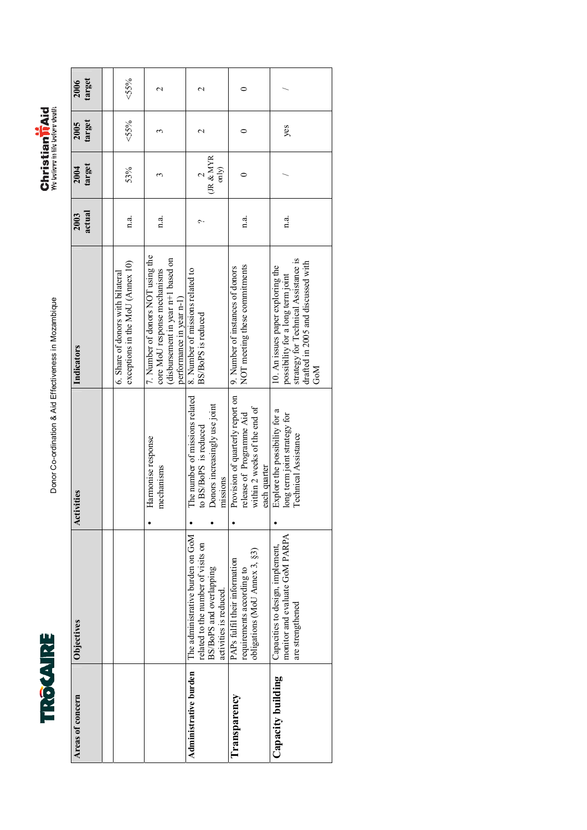



| target<br>2006   | $55\%$                                                                | $\mathbf 2$                                                                                                                         | $\mathrel{\sim}$                                                                                                            |                                                                                                              |                                                                                                                                                             |
|------------------|-----------------------------------------------------------------------|-------------------------------------------------------------------------------------------------------------------------------------|-----------------------------------------------------------------------------------------------------------------------------|--------------------------------------------------------------------------------------------------------------|-------------------------------------------------------------------------------------------------------------------------------------------------------------|
| target<br>2005   | $55\%$                                                                |                                                                                                                                     | $\mathrel{\sim}$                                                                                                            |                                                                                                              | yes                                                                                                                                                         |
| target<br>2004   | 53%                                                                   | 3                                                                                                                                   | (JR & MYR<br>only)                                                                                                          |                                                                                                              |                                                                                                                                                             |
| actual<br>2003   | n.a.                                                                  | n.a.                                                                                                                                | c                                                                                                                           | n.a.                                                                                                         | n.a.                                                                                                                                                        |
| Indicators       | exceptions in the MoU (Annex 10)<br>6. Share of donors with bilateral | 7. Number of donors NOT using the<br>(disbursement in year n+1 based on<br>core MoU response mechanisms<br>performance in year n-1) | 8. Number of missions related to<br>BS/BoPS is reduced                                                                      | NOT meeting these commitments<br>9. Number of instances of donors                                            | strategy for Technical Assistance is<br>drafted in 2005 and discussed with<br>10. An issues paper exploring the<br>possibility for a long term joint<br>СоМ |
| Activities       |                                                                       | Harmonise response<br>mechanisms                                                                                                    | The number of missions related<br>Donors increasingly use joint<br>to BS/BoPS is reduced<br>missions                        | Provision of quarterly report on<br>within 2 weeks of the end of<br>release of Programme Aid<br>each quarter | Explore the possibility for a<br>long term joint strategy for<br>Technical Assistance                                                                       |
| Objectives       |                                                                       |                                                                                                                                     | The administrative burden on GoM<br>related to the number of visits on<br>BS/BoPS and overlapping<br>activities is reduced. | obligations (MoU Annex 3, §3)<br>PAPs fulfil their information<br>requirements according to                  | monitor and evaluate GoM PARPA<br>Capacities to design, implement,<br>are strengthened                                                                      |
| Areas of concern |                                                                       |                                                                                                                                     | Administrative burden                                                                                                       | Transparency                                                                                                 | Capacity building                                                                                                                                           |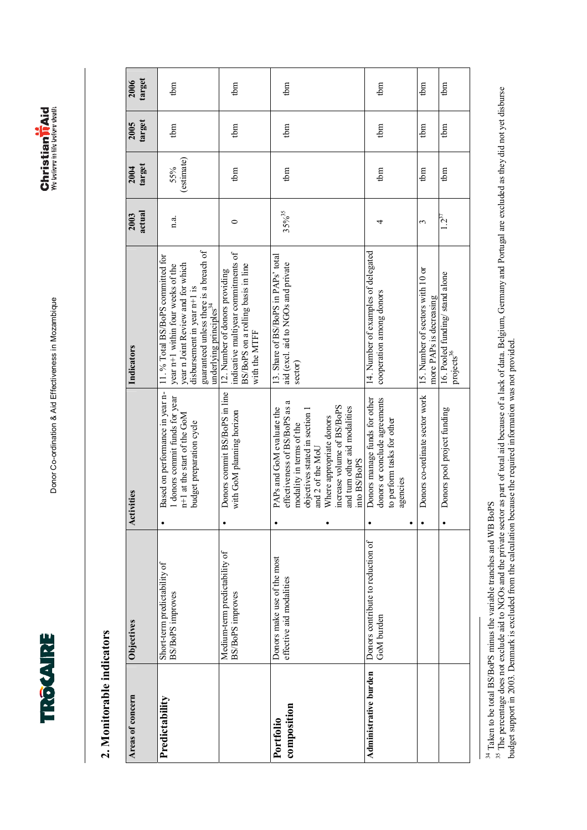



### **2. Monitorable indicators**  2. Monitorable indicators

| Areas of concern         | Objectives                                               | Activities                                                                                                                                                                                                                                              | Indicators                                                                                                                                                                                                                  | actual<br>2003 | target<br>2004    | target<br>2005 | target<br>2006 |
|--------------------------|----------------------------------------------------------|---------------------------------------------------------------------------------------------------------------------------------------------------------------------------------------------------------------------------------------------------------|-----------------------------------------------------------------------------------------------------------------------------------------------------------------------------------------------------------------------------|----------------|-------------------|----------------|----------------|
| Predictability           | Short-term predictability of<br><b>BS/BoPS</b> improves  | Based on performance in year n-<br>1 donors commit funds for year<br>n+1 at the start of the GoM<br>budget preparation cycle                                                                                                                            | guaranteed unless there is a breach of<br>11. % Total BS/BoPS committed for<br>year n Joint Review and for which<br>year n+1 within four weeks of the<br>disbursement in year n+1 is<br>underlying principles <sup>34</sup> | 1.3.           | (estimate)<br>55% | tbm            | tbm            |
|                          | Medium-term predictability of<br><b>BS/BoPS</b> improves | Donors commit BS/BoPS in line<br>with GoM planning horizon                                                                                                                                                                                              | indicative multiyear commitments of<br>BS/BoPS on a rolling basis in line<br>12. Number of donors providing<br>with the MTFF                                                                                                | 0              | tbm               | tbm            | tbm            |
| composition<br>Portfolio | Donors make use of the most<br>effective aid modalities  | effectiveness of BS/BoPS as a<br>increase volume of BS/BoPS<br>and turn other aid modalities<br>PAPs and GoM evaluate the<br>objectives stated in section 1<br>Where appropriate donors<br>modality in terms of the<br>and 2 of the MoU<br>into BS/BoPS | 13. Share of BS/BoPS in PAPs' total<br>aid (excl. aid to NGOs and private<br>sector)                                                                                                                                        | $35\%^{35}$    | tbm               | tbm            | tbm            |
| Administrative burden    | Donors contribute to reduction of<br>GoM burden          | Donors manage funds for other<br>donors or conclude agreements<br>to perform tasks for other<br>agencies<br>٠                                                                                                                                           | 14. Number of examples of delegated<br>cooperation among donors                                                                                                                                                             | 4              | tbm               | tbm            | tbm            |
|                          |                                                          | Donors co-ordinate sector work                                                                                                                                                                                                                          | 15. Number of sectors with 10 or<br>more PAPs is decreasing                                                                                                                                                                 | 3              | tbm               | tbm            | tbm            |
|                          |                                                          | Donors pool project funding                                                                                                                                                                                                                             | 16. Pooled funding/stand alone<br>projects <sup>36</sup>                                                                                                                                                                    | $1.2^{37}$     | tbm               | tbm            | tbm            |

<sup>34</sup> Taken to be total BS/BoPS minus the variable tranches and WB BoPS

<sup>34</sup> Taken to be total BS/BoPS minus the variable tranches and WB BoPS<br><sup>35</sup> The percentage does not exclude aid to NGOs and the private sector as part of total aid because of a lack of data. Belgium, Germany and Portugal a <sup>35</sup> The percentage does not exclude aid to NGOs and the private sector as part of total aid because of a lack of data. Belgium, Germany and Portugal are excluded as they did not yet disburse budget support in 2003. Denmark is excluded from the calculation because the required information was not provided.